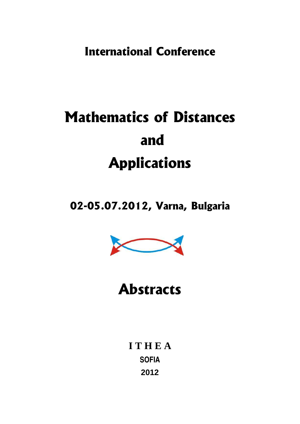**International Conference**

# **Mathematics of Distances and Applications**

## **02-05.07.2012, Varna, Bulgaria**



## **Abstracts**

**I T H E A SOFIA 2012**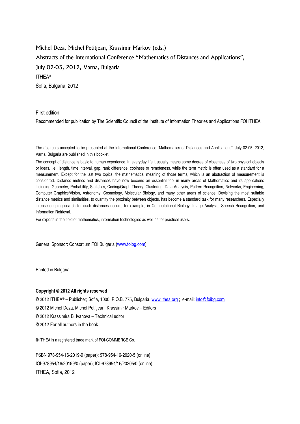Michel Deza, Michel Petitjean, Krassimir Markov (eds.) Abstracts of the International Conference "Mathematics of Distances and Applications", July 02-05, 2012, Varna, Bulgaria ITHEA® Sofia, Bulgaria, 2012

First edition

Recommended for publication by The Scientific Council of the Institute of Information Theories and Applications FOI ITHEA

The abstracts accepted to be presented at the International Conference "Mathematics of Distances and Applications", July 02-05, 2012, Varna, Bulgaria are published in this booklet.

The concept of distance is basic to human experience. In everyday life it usually means some degree of closeness of two physical objects or ideas, i.e., length, time interval, gap, rank difference, coolness or remoteness, while the term metric is often used as a standard for a measurement. Except for the last two topics, the mathematical meaning of those terms, which is an abstraction of measurement is considered. Distance metrics and distances have now become an essential tool in many areas of Mathematics and its applications including Geometry, Probability, Statistics, Coding/Graph Theory, Clustering, Data Analysis, Pattern Recognition, Networks, Engineering, Computer Graphics/Vision, Astronomy, Cosmology, Molecular Biology, and many other areas of science. Devising the most suitable distance metrics and similarities, to quantify the proximity between objects, has become a standard task for many researchers. Especially intense ongoing search for such distances occurs, for example, in Computational Biology, Image Analysis, Speech Recognition, and Information Retrieval.

For experts in the field of mathematics, information technologies as well as for practical users.

General Sponsor: Consortium FOI Bulgaria [\(www.foibg.com\).](http://www.foibg.com/)

Printed in Bulgaria

#### **Copyright © 2012 All rights reserved**

© 2012 ITHEA® – Publisher; Sofia, 1000, P.O.B. 775, Bulgaria. [www.ithea.org](http://www.ithea.org/) ; e-mail: [info@foibg.com](mailto:info@foibg.com) 

© 2012 Michel Deza, Michel Petitjean, Krassimir Markov – Editors

© 2012 Krassimira B. Ivanova – Technical editor

© 2012 For all authors in the book.

® ITHEA is a registered trade mark of FOI-COMMERCE Co.

FSBN 978-954-16-2019-9 (paper); 978-954-16-2020-5 (online) IOI-978954/16/20199/0 (paper); IOI-978954/16/20205/0 (online) ITHEA, Sofia, 2012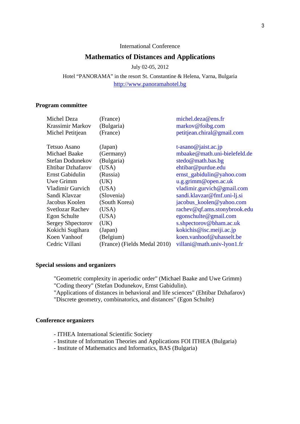#### International Conference

#### **Mathematics of Distances and Applications**

July 02-05, 2012

Hotel "PANORAMA" in the resort St. Constantine & Helena, Varna, Bulgaria [http://www.panoramahotel.bg](http://www.panoramahotel.bg/)

#### **Program committee**

| Michel Deza              | (France)                     | michel.deza@ens.fr           |
|--------------------------|------------------------------|------------------------------|
| Krassimir Markov         | (Bulgaria)                   | markov@foibg.com             |
| Michel Petitjean         | (France)                     | petitjean.chiral@gmail.com   |
| Tetsuo Asano             | (Japan)                      | t-asano@jaist.ac.jp          |
| <b>Michael Baake</b>     | (Germany)                    | mbaake@math.uni-bielefeld.de |
| Stefan Dodunekov         | (Bulgaria)                   | stedo@math.bas.bg            |
| Ehtibar Dzhafarov        | (USA)                        | ehtibar@purdue.edu           |
| Ernst Gabidulin          | (Russia)                     | ernst_gabidulin@yahoo.com    |
| Uwe Grimm                | (UK)                         | u.g.grimm@open.ac.uk         |
| Vladimir Gurvich         | (USA)                        | vladimir.gurvich@gmail.com   |
| Sandi Klavzar            | (Slovenia)                   | sandi.klavzar@fmf.uni-lj.si  |
| Jacobus Koolen           | (South Korea)                | jacobus_koolen@yahoo.com     |
| <b>Svetlozar Rachev</b>  | (USA)                        | rachev@qf.ams.stonybrook.edu |
| Egon Schulte             | (USA)                        | egonschulte@gmail.com        |
| <b>Sergey Shpectorov</b> | (UK)                         | s.shpectorov@bham.ac.uk      |
| Kokichi Sugihara         | (Japan)                      | kokichis@isc.meiji.ac.jp     |
| Koen Vanhoof             | (Belgium)                    | koen.vanhoof@uhasselt.be     |
| Cedric Villani           | (France) (Fields Medal 2010) | villani@math.univ-lyon1.fr   |

#### **Special sessions and organizers**

"Geometric complexity in aperiodic order" (Michael Baake and Uwe Grimm) "Coding theory" (Stefan Dodunekov, Ernst Gabidulin).

"Applications of distances in behavioral and life sciences" (Ehtibar Dzhafarov)

"Discrete geometry, combinatorics, and distances" (Egon Schulte)

#### **Conference organizers**

- ITHEA International Scientific Society
- Institute of Information Theories and Applications FOI ITHEA (Bulgaria)
- Institute of Mathematics and Informatics, BAS (Bulgaria)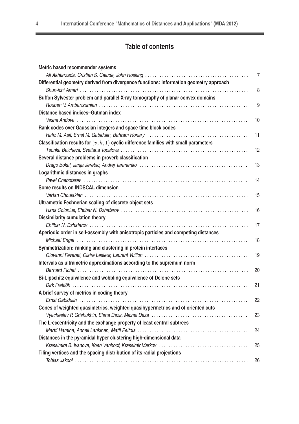۰

## **Table of contents**

| Metric based recommender systems                                                        |    |
|-----------------------------------------------------------------------------------------|----|
|                                                                                         | 7  |
| Differential geometry derived from divergence functions: information geometry approach  | 8  |
| Buffon Sylvester problem and parallel X-ray tomography of planar convex domains         |    |
|                                                                                         | 9  |
| Distance based indices-Gutman index                                                     |    |
|                                                                                         | 10 |
| Rank codes over Gaussian integers and space time block codes                            |    |
|                                                                                         | 11 |
| Classification results for $(v, k, 1)$ cyclic difference families with small parameters |    |
|                                                                                         | 12 |
| Several distance problems in proverb classification                                     |    |
|                                                                                         | 13 |
| Logarithmic distances in graphs                                                         |    |
|                                                                                         | 14 |
| Some results on INDSCAL dimension                                                       |    |
|                                                                                         | 15 |
| Ultrametric Fechnerian scaling of discrete object sets                                  |    |
|                                                                                         | 16 |
| <b>Dissimilarity cumulation theory</b>                                                  |    |
|                                                                                         | 17 |
| Aperiodic order in self-assembly with anisotropic particles and competing distances     |    |
|                                                                                         | 18 |
| Symmetrization: ranking and clustering in protein interfaces                            |    |
|                                                                                         | 19 |
| Intervals as ultrametric approximations according to the supremum norm                  |    |
|                                                                                         | 20 |
| Bi-Lipschitz equivalence and wobbling equivalence of Delone sets                        |    |
|                                                                                         | 21 |
| A brief survey of metrics in coding theory                                              |    |
|                                                                                         | 22 |
| Cones of weighted quasimetrics, weighted quasihypermetrics and of oriented cuts         |    |
|                                                                                         | 23 |
| The L-eccentricity and the exchange property of least central subtrees                  |    |
|                                                                                         | 24 |
| Distances in the pyramidal hyper clustering high-dimensional data                       |    |
|                                                                                         | 25 |
| Tiling vertices and the spacing distribution of its radial projections                  |    |
|                                                                                         | 26 |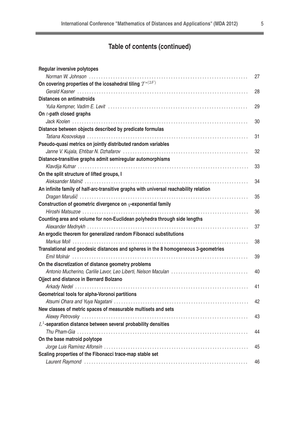$=$ 

## **Table of contents (continued)**

| <b>Regular inversive polytopes</b>                                                    |    |
|---------------------------------------------------------------------------------------|----|
|                                                                                       | 27 |
| On covering properties of the icosahedral tiling $\mathcal{T}^{*(2F)}$                |    |
|                                                                                       | 28 |
| <b>Distances on antimatroids</b>                                                      |    |
|                                                                                       | 29 |
| On t-path closed graphs                                                               |    |
|                                                                                       | 30 |
| Distance between objects described by predicate formulas                              |    |
|                                                                                       | 31 |
| Pseudo-quasi metrics on jointly distributed random variables                          |    |
|                                                                                       | 32 |
| Distance-transitive graphs admit semiregular automorphisms                            |    |
|                                                                                       | 33 |
| On the split structure of lifted groups, I                                            |    |
|                                                                                       | 34 |
| An infinite family of half-arc-transitive graphs with universal reachability relation |    |
|                                                                                       | 35 |
| Construction of geometric divergence on $q$ -exponential family                       |    |
|                                                                                       | 36 |
| Counting area and volume for non-Euclidean polyhedra through side lengths             |    |
|                                                                                       | 37 |
| An ergodic theorem for generalized random Fibonacci substitutions                     |    |
|                                                                                       | 38 |
| Translational and geodesic distances and spheres in the 8 homogeneous 3-geometries    |    |
|                                                                                       | 39 |
| On the discretization of distance geometry problems                                   |    |
|                                                                                       | 40 |
| <b>Ojject and distance in Bernard Bolzano</b>                                         |    |
|                                                                                       | 41 |
| Geometrical tools for alpha-Voronoi partitions                                        |    |
|                                                                                       | 42 |
| New classes of metric spaces of measurable multisets and sets                         |    |
|                                                                                       | 43 |
| $L^1$ -separation distance between several probability densities                      |    |
|                                                                                       | 44 |
| On the base matroid polytope                                                          |    |
|                                                                                       | 45 |
| Scaling properties of the Fibonacci trace-map stable set                              |    |
|                                                                                       | 46 |
|                                                                                       |    |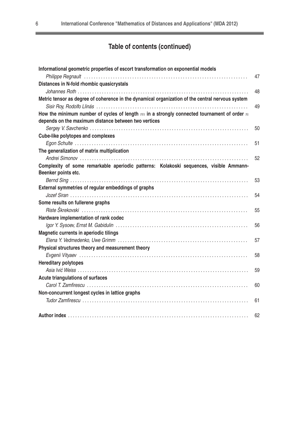## **Table of contents (continued)**

| Informational geometric properties of escort transformation on exponential models                                                                      |    |
|--------------------------------------------------------------------------------------------------------------------------------------------------------|----|
|                                                                                                                                                        | 47 |
| Distances in N-fold rhombic quasicrystals                                                                                                              |    |
|                                                                                                                                                        | 48 |
| Metric tensor as degree of coherence in the dynamical organization of the central nervous system                                                       |    |
|                                                                                                                                                        | 49 |
| How the minimum number of cycles of length $m$ in a strongly connected tournament of order $n$<br>depends on the maximum distance between two vertices |    |
|                                                                                                                                                        | 50 |
| <b>Cube-like polytopes and complexes</b>                                                                                                               |    |
|                                                                                                                                                        | 51 |
| The generalization of matrix multiplication                                                                                                            |    |
|                                                                                                                                                        | 52 |
| Complexity of some remarkable aperiodic patterns: Kolakoski sequences, visible Ammann-                                                                 |    |
| Beenker points etc.                                                                                                                                    |    |
|                                                                                                                                                        | 53 |
| External symmetries of regular embeddings of graphs                                                                                                    |    |
|                                                                                                                                                        | 54 |
| Some results on fullerene graphs                                                                                                                       |    |
|                                                                                                                                                        | 55 |
| Hardware implementation of rank codec                                                                                                                  |    |
|                                                                                                                                                        | 56 |
| Magnetic currents in aperiodic tilings                                                                                                                 |    |
|                                                                                                                                                        | 57 |
| Physical structures theory and measurement theory                                                                                                      |    |
|                                                                                                                                                        | 58 |
| <b>Hereditary polytopes</b>                                                                                                                            |    |
|                                                                                                                                                        | 59 |
| <b>Acute triangulations of surfaces</b>                                                                                                                |    |
|                                                                                                                                                        | 60 |
| Non-concurrent longest cycles in lattice graphs                                                                                                        |    |
|                                                                                                                                                        | 61 |
|                                                                                                                                                        | 62 |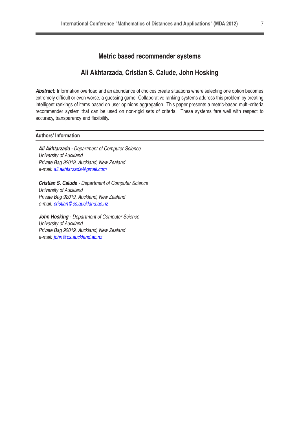#### **Metric based recommender systems**

#### **Ali Akhtarzada, Cristian S. Calude, John Hosking**

**Abstract:** Information overload and an abundance of choices create situations where selecting one option becomes extremely difficult or even worse, a guessing game. Collaborative ranking systems address this problem by creating intelligent rankings of items based on user opinions aggregation. This paper presents a metric-based multi-criteria recommender system that can be used on non-rigid sets of criteria. These systems fare well with respect to accuracy, transparency and flexibility.

#### **Authors' Information**

**Ali Akhtarzada** - Department of Computer Science University of Auckland Private Bag 92019, Auckland, New Zealand e-mail: [ali.akhtarzada@gmail.com](mailto:ali.akhtarzada@gmail.com)

**Cristian S. Calude** - Department of Computer Science University of Auckland Private Bag 92019, Auckland, New Zealand e-mail: [cristian@cs.auckland.ac.nz](mailto:cristian@cs.auckland.ac.nz)

**John Hosking** - Department of Computer Science University of Auckland Private Bag 92019, Auckland, New Zealand e-mail: [john@cs.auckland.ac.nz](mailto:john@cs.auckland.ac.nz)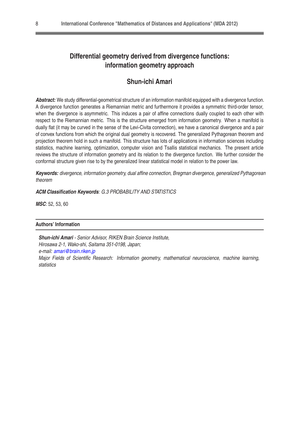## **Differential geometry derived from divergence functions: information geometry approach**

## **Shun-ichi Amari**

**Abstract:** We study differential-geometrical structure of an information manifold equipped with a divergence function. A divergence function generates a Riemannian metric and furthermore it provides a symmetric third-order tensor, when the divergence is asymmetric. This induces a pair of affine connections dually coupled to each other with respect to the Riemannian metric. This is the structure emerged from information geometry. When a manifold is dually flat (it may be curved in the sense of the Levi-Civita connection), we have a canonical divergence and a pair of convex functions from which the original dual geometry is recovered. The generalized Pythagorean theorem and projection theorem hold in such a manifold. This structure has lots of applications in information sciences including statistics, machine learning, optimization, computer vision and Tsallis statistical mechanics. The present article reviews the structure of information geometry and its relation to the divergence function. We further consider the conformal structure given rise to by the generalized linear statistical model in relation to the power law.

**Keywords:** divergence, information geometry, dual affine connection, Bregman divergence, generalized Pythagorean theorem

#### **ACM Classification Keywords**: G.3 PROBABILITY AND STATISTICS

**MSC**: 52, 53, 60

#### **Authors' Information**

**Shun-ichi Amari** - Senior Advisor, RIKEN Brain Science Institute, Hirosawa 2-1, Wako-shi, Saitama 351-0198, Japan; e-mail: [amari@brain.riken.jp](mailto:amari@brain.riken.jp) Major Fields of Scientific Research: Information geometry, mathematical neuroscience, machine learning, statistics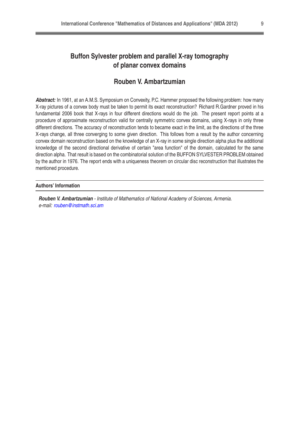## **Buffon Sylvester problem and parallel X-ray tomography of planar convex domains**

## **Rouben V. Ambartzumian**

**Abstract:** In 1961, at an A.M.S. Symposium on Convexity, P.C. Hammer proposed the following problem: how many X-ray pictures of a convex body must be taken to permit its exact reconstruction? Richard R.Gardner proved in his fundamental 2006 book that X-rays in four different directions would do the job. The present report points at a procedure of approximate reconstruction valid for centrally symmetric convex domains, using X-rays in only three different directions. The accuracy of reconstruction tends to became exact in the limit, as the directions of the three X-rays change, all three converging to some given direction. This follows from a result by the author concerning convex domain reconstruction based on the knowledge of an X-ray in some single direction alpha plus the additional knowledge of the second directional derivative of certain "area function" of the domain, calculated for the same direction alpha. That result is based on the combinatorial solution of the BUFFON SYLVESTER PROBLEM obtained by the author in 1976. The report ends with a uniqueness theorem on circular disc reconstruction that illustrates the mentioned procedure.

#### **Authors' Information**

**Rouben V. Ambartzumian** - Institute of Mathematics of National Academy of Sciences, Armenia. e-mail: [rouben@instmath.sci.am](mailto:rouben@instmath.sci.am)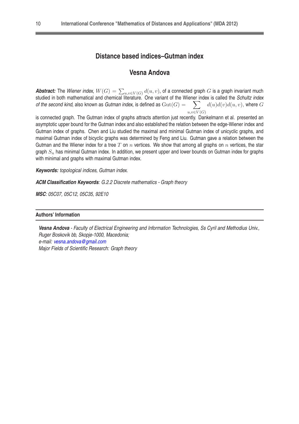#### **Distance based indices–Gutman index**

#### **Vesna Andova**

**Abstract:** The Wiener index,  $W(G) = \sum_{u,v \in V(G)} d(u,v)$ , of a connected graph  $G$  is a graph invariant much studied in both mathematical and chemical literature. One variant of the Wiener index is called the Schultz index of the second kind, also known as Gutman index, is defined as  $\mathrm{Gut}(G) = \frac{X}{X}$  $u, v \in V(G)$  $\sum d(u)d(v)d(u, v)$ , where  $G$ 

is connected graph. The Gutman index of graphs attracts attention just recently. Dankelmann et al. presented an asymptotic upper bound for the Gutman index and also established the relation between the edge-Wiener index and Gutman index of graphs. Chen and Liu studied the maximal and minimal Gutman index of unicyclic graphs, and maximal Gutman index of bicyclic graphs was determined by Feng and Liu. Gutman gave a relation between the Gutman and the Wiener index for a tree T on  $n$  vertices. We show that among all graphs on  $n$  vertices, the star graph  $S_n$  has minimal Gutman index. In addition, we present upper and lower bounds on Gutman index for graphs with minimal and graphs with maximal Gutman index.

**Keywords:** topological indices, Gutman index.

**ACM Classification Keywords**: G.2.2 Discrete mathematics - Graph theory

**MSC**: 05C07, 05C12, 05C35, 92E10

#### **Authors' Information**

**Vesna Andova** - Faculty of Electrical Engineering and Information Technologies, Ss Cyril and Methodius Univ., Ruger Boskovik bb, Skopje-1000, Macedonia; e-mail: [vesna.andova@gmail.com](mailto:vesna.andova@gmail.com) Major Fields of Scientific Research: Graph theory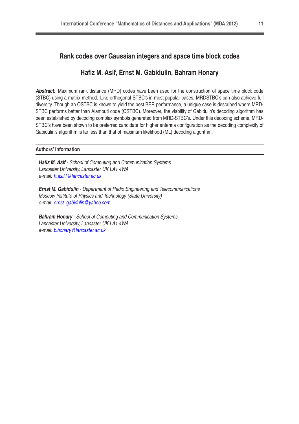#### **Rank codes over Gaussian integers and space time block codes**

#### **Hafiz M. Asif, Ernst M. Gabidulin, Bahram Honary**

**Abstract:** Maximum rank distance (MRD) codes have been used for the construction of space time block code (STBC) using a matrix method. Like orthogonal STBC's in most popular cases, MRDSTBC's can also achieve full diversity. Though an OSTBC is known to yield the best BER performance, a unique case is described where MRD-STBC performs better than Alamouti code (OSTBC). Moreover, the viability of Gabidulin's decoding algorithm has been established by decoding complex symbols generated from MRD-STBC's. Under this decoding scheme, MRD-STBC's have been shown to be preferred candidate for higher antenna configuration as the decoding complexity of Gabidulin's algorithm is far less than that of maximum likelihood (ML) decoding algorithm.

#### **Authors' Information**

**Hafiz M. Asif** - School of Computing and Communication Systems Lancaster University, Lancaster UK LA1 4WA e-mail: [h.asif1@lancaster.ac.uk](mailto:h.asif1@lancaster.ac.uk)

**Ernst M. Gabidulin** - Department of Radio Engineering and Telecommunications Moscow Institute of Physics and Technology (State University) e-mail: [ernst\\_gabidulin@yahoo.com](mailto:ernst{_}gabidulin@yahoo.com)

**Bahram Honary** - School of Computing and Communication Systems Lancaster University, Lancaster UK LA1 4WA e-mail: [b.honary@lancaster.ac.uk](mailto:b.honary@lancaster.ac.uk)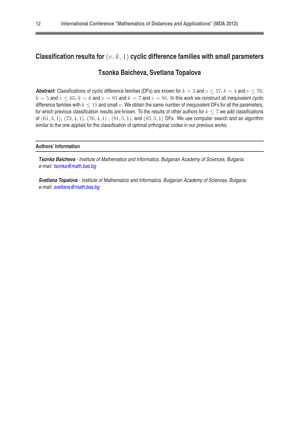## Classification results for  $(v, k, 1)$  cyclic difference families with small parameters

## **Tsonka Baicheva, Svetlana Topalova**

**Abstract:** Classifications of cyclic difference families (DFs) are known for  $k = 3$  and  $v \le 57$ ,  $k = 4$  and  $v \le 76$ .  $k = 5$  and  $v \le 65$ ,  $k = 6$  and  $v = 91$  and  $k = 7$  and  $v = 91$ . In this work we construct all inequivalent cyclic difference families with  $k \leq 11$  and small v. We obtain the same number of inequivalent DFs for all the parameters, for which previous classification results are known. To the results of other authors for  $k \le 7$  we add classifications of  $(61, 3, 1)$ ,  $(73, 4, 1)$ ,  $(76, 4, 1)$ ,  $(81, 5, 1)$ , and  $(85, 5, 1)$  DFs. We use computer search and an algorithm similar to the one applied for the classification of optimal orthogonal codes in our previous works.

#### **Authors' Information**

**Tsonka Baicheva** - Institute of Mathematics and Informatics, Bulgarian Academy of Sciences, Bulgaria. e-mail: [tsonka@math.bas.bg](mailto:tsonka@math.bas.bg)

**Svetlana Topalova** - Institute of Mathematics and Informatics, Bulgarian Academy of Sciences, Bulgaria. e-mail: [svetlana@math.bas.bg](mailto:svetlana@math.bas.bg)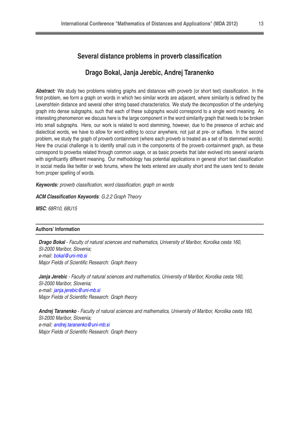#### **Several distance problems in proverb classification**

#### **Drago Bokal, Janja Jerebic, Andrej Taranenko**

**Abstract:** We study two problems relating graphs and distances with proverb (or short text) classification. In the first problem, we form a graph on words in which two similar words are adjacent, where similarity is defined by the Levenshtein distance and several other string based characteristics. We study the decomposition of the underlying graph into dense subgraphs, such that each of these subgraphs would correspond to a single word meaning. An interesting phenomenon we discuss here is the large component in the word similarity graph that needs to be broken into small subgraphs. Here, our work is related to word stemming, however, due to the presence of archaic and dialectical words, we have to allow for word editing to occur anywhere, not just at pre- or suffixes. In the second problem, we study the graph of proverb containment (where each proverb is treated as a set of its stemmed words). Here the crucial challenge is to identify small cuts in the components of the proverb containment graph, as these correspond to proverbs related through common usage, or as basic proverbs that later evolved into several variants with significantly different meaning. Our methodology has potential applications in general short text classification in social media like twitter or web forums, where the texts entered are usually short and the users tend to deviate from proper spelling of words.

**Keywords:** proverb classification, word classification, graph on words

#### **ACM Classification Keywords**: G.2.2 Graph Theory

**MSC**: 68R10, 68U15

#### **Authors' Information**

**Drago Bokal** - Faculty of natural sciences and mathematics, University of Maribor, Koroška cesta 160, SI-2000 Maribor, Slovenia; e-mail: [bokal@uni-mb.si](mailto:bokal@uni-mb.si) Major Fields of Scientific Research: Graph theory

**Janja Jerebic** - Faculty of natural sciences and mathematics, University of Maribor, Koroška cesta 160, SI-2000 Maribor, Slovenia; e-mail: [janja.jerebic@uni-mb.si](mailto:janja.jerebic@uni-mb.si) Major Fields of Scientific Research: Graph theory

**Andrej Taranenko** - Faculty of natural sciences and mathematics, University of Maribor, Koroška cesta 160, SI-2000 Maribor, Slovenia; e-mail: [andrej.taranenko@uni-mb.si](mailto:andrej.taranenko@uni-mb.si) Major Fields of Scientific Research: Graph theory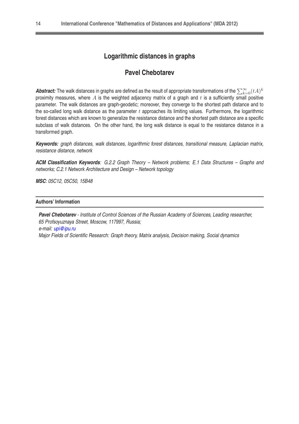## **Logarithmic distances in graphs**

## **Pavel Chebotarev**

**Abstract:** The walk distances in graphs are defined as the result of appropriate transformations of the  $\sum_{k=0}^\infty (tA)^k$ proximity measures, where  $A$  is the weighted adjacency matrix of a graph and  $t$  is a sufficiently small positive parameter. The walk distances are graph-geodetic; moreover, they converge to the shortest path distance and to the so-called long walk distance as the parameter  $t$  approaches its limiting values. Furthermore, the logarithmic forest distances which are known to generalize the resistance distance and the shortest path distance are a specific subclass of walk distances. On the other hand, the long walk distance is equal to the resistance distance in a transformed graph.

**Keywords:** graph distances, walk distances, logarithmic forest distances, transitional measure, Laplacian matrix, resistance distance, network

**ACM Classification Keywords**: G.2.2 Graph Theory – Network problems; E.1 Data Structures – Graphs and networks; C.2.1 Network Architecture and Design – Network topology

**MSC**: 05C12, 05C50, 15B48

#### **Authors' Information**

Pavel Chebotarev - Institute of Control Sciences of the Russian Academy of Sciences, Leading researcher, 65 Profsoyuznaya Street, Moscow, 117997, Russia; e-mail: [upi@ipu.ru](mailto:upi@ipu.ru) Major Fields of Scientific Research: Graph theory, Matrix analysis, Decision making, Social dynamics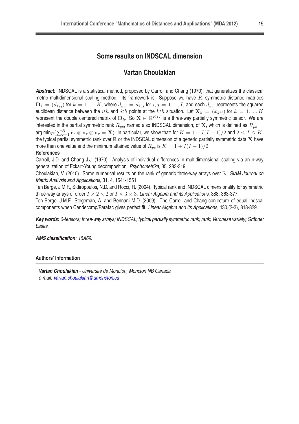#### **Some results on INDSCAL dimension**

#### **Vartan Choulakian**

**Abstract:** INDSCAL is a statistical method, proposed by Carroll and Chang (1970), that generalizes the classical metric multidimensional scaling method. Its framework is: Suppose we have  $K$  symmetric distance matrices  $\mathbf{D}_k = (d_{kij})$  for  $k = 1, ..., K$ , where  $d_{kij} = d_{kji}$  for  $i, j = 1, ..., I$ , and each  $d_{kij}$  represents the squared euclidean distance between the ith and jth points at the kth situation. Let  $X_k = (x_{kij})$  for  $k = 1, ..., K$ represent the double centered matrix of  $\mathbf{D}_k$ . So  $\mathbf{X}\in\mathbb{R}^{KII}$  is a three-way partially symmetric tensor. We are interested in the partial symmetric rank  $R_{ps}$ , named also INDSCAL dimension, of X, which is defined as  $R_{ps}$  = arg min $_R(\sum_{r=1}^R \mathbf{c}_r \otimes \mathbf{a}_r \otimes \mathbf{a}_r = \mathbf{X}).$  In particular, we show that: for  $K=1+I(I-1)/2$  and  $2\leq I\leq K,$ the typical partial symmetric rank over  $\R$  or the INDSCAL dimension of a generic partially symmetric data  $X$  have more than one value and the minimum attained value of  $R_{ps}$  is  $K = 1 + I(I - 1)/2$ .

#### **References**

Carroll, J.D. and Chang J.J. (1970). Analysis of individual differences in multidimensional scaling via an n-way generalization of Eckart-Young decomposition. Psychometrika, 35, 283-319.

Choulakian, V. (2010). Some numerical results on the rank of generic three-way arrays over R: SIAM Journal on Matrix Analysis and Applications, 31, 4, 1541-1551.

Ten Berge, J.M.F., Sidiropoulos, N.D. and Rocci, R. (2004). Typical rank and INDSCAL dimensionality for symmetric three-way arrays of order  $I \times 2 \times 2$  or  $I \times 3 \times 3$ . Linear Algebra and its Applications, 388, 363-377.

Ten Berge, J.M.F., Stegeman, A. and Bennani M.D. (2009). The Carroll and Chang conjecture of equal Indscal components when Candecomp/Parafac gives perfect fit. Linear Algebra and its Applications, 430,(2-3), 818-829.

**Key words:** 3-tensors; three-way arrays; INDSCAL; typical partially symmetric rank; rank; Veronese variety; Gröbner bases.

**AMS classification**: 15A69.

#### **Authors' Information**

**Vartan Choulakian** - Université de Moncton, Moncton NB Canada e-mail: [vartan.choulakian@umoncton.ca](mailto:vartan.choulakian@umoncton.ca)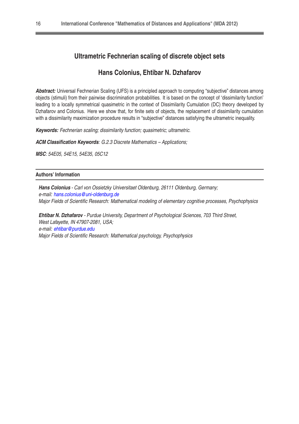## **Ultrametric Fechnerian scaling of discrete object sets**

#### **Hans Colonius, Ehtibar N. Dzhafarov**

**Abstract:** Universal Fechnerian Scaling (UFS) is a principled approach to computing "subjective" distances among objects (stimuli) from their pairwise discrimination probabilities. It is based on the concept of 'dissimilarity function' leading to a locally symmetrical quasimetric in the context of Dissimilarity Cumulation (DC) theory developed by Dzhafarov and Colonius. Here we show that, for finite sets of objects, the replacement of dissimilarity cumulation with a dissimilarity maximization procedure results in "subjective" distances satisfying the ultrametric inequality.

**Keywords:** Fechnerian scaling; dissimilarity function; quasimetric; ultrametric.

**ACM Classification Keywords**: G.2.3 Discrete Mathematics – Applications;

**MSC**: 54E05, 54E15, 54E35, 05C12

#### **Authors' Information**

**Hans Colonius** - Carl von Ossietzky Universitaet Oldenburg, 26111 Oldenburg, Germany; e-mail: [hans.colonius@uni-oldenburg.de](mailto:hans.colonius@uni-oldenburg.de) Major Fields of Scientific Research: Mathematical modeling of elementary cognitive processes, Psychophysics

**Ehtibar N. Dzhafarov** - Purdue University, Department of Psychological Sciences, 703 Third Street, West Lafayette, IN 47907-2081, USA; e-mail: [ehtibar@purdue.edu](mailto:ehtibar@purdue.edu) Major Fields of Scientific Research: Mathematical psychology, Psychophysics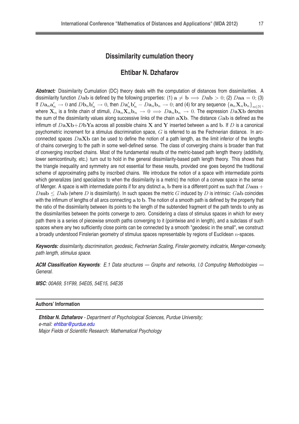#### **Dissimilarity cumulation theory**

#### **Ehtibar N. Dzhafarov**

**Abstract:** Dissimilarity Cumulation (DC) theory deals with the computation of distances from dissimilarities. A dissimilarity function Dab is defined by the following properties: (1)  $a \neq b \implies Dab > 0$ ; (2)  $Daa = 0$ ; (3) If  $D{\bf a}_n{\bf a}_n'\to 0$  and  $D{\bf b}_n{\bf b}_n'\to 0$ , then  $D{\bf a}_n'{\bf b}_n'-D{\bf a}_n{\bf b}_n\to 0$ ; and (4) for any sequence  $\left\{{\bf a}_n{\bf X}_n{\bf b}_n\right\}_{n\in\mathbb{N}}$ , where  $X_n$  is a finite chain of stimuli,  $Da_nX_nb_n \to 0 \implies Da_nb_n \to 0$ . The expression  $DaXb$  denotes the sum of the dissimilarity values along successive links of the chain  $aXb$ . The distance  $Gab$  is defined as the infimum of  $DaXb+DbYa$  across all possible chains X and Y inserted between a and b. If D is a canonical psychometric increment for a stimulus discrimination space,  $G$  is referred to as the Fechnerian distance. In arcconnected spaces  $DaXb$  can be used to define the notion of a path length, as the limit inferior of the lengths of chains converging to the path in some well-defined sense. The class of converging chains is broader than that of converging inscribed chains. Most of the fundamental results of the metric-based path length theory (additivity, lower semicontinuity, etc.) turn out to hold in the general dissimilarity-based path length theory. This shows that the triangle inequality and symmetry are not essential for these results, provided one goes beyond the traditional scheme of approximating paths by inscribed chains. We introduce the notion of a space with intermediate points which generalizes (and specializes to when the dissimilarity is a metric) the notion of a convex space in the sense of Menger. A space is with intermediate points if for any distinct a, b there is a different point  $m$  such that  $Dam+$  $D<sub>mb</sub> < D<sub>ab</sub>$  (where D is dissimilarity). In such spaces the metric G induced by D is intrinsic: Gab coincides with the infimum of lengths of all arcs connecting a to b. The notion of a smooth path is defined by the property that the ratio of the dissimilarity between its points to the length of the subtended fragment of the path tends to unity as the dissimilarities between the points converge to zero. Considering a class of stimulus spaces in which for every path there is a series of piecewise smooth paths converging to it (pointwise and in length), and a subclass of such spaces where any two sufficiently close points can be connected by a smooth "geodesic in the small", we construct a broadly understood Finslerian geometry of stimulus spaces representable by regions of Euclidean  $n$ -spaces.

**Keywords:** dissimilarity, discrimination, geodesic, Fechnerian Scaling, Finsler geometry, indicatrix, Menger-convexity, path length, stimulus space.

**ACM Classification Keywords**: E.1 Data structures — Graphs and networks, I.0 Computing Methodologies — General.

**MSC**: 00A69, 51F99, 54E05, 54E15, 54E35

#### **Authors' Information**

**Ehtibar N. Dzhafarov** - Department of Psychological Sciences, Purdue University; e-mail: [ehtibar@purdue.edu](mailto:ehtibar@purdue.edu) Major Fields of Scientific Research: Mathematical Psychology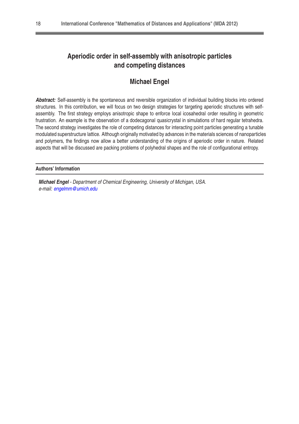## **Aperiodic order in self-assembly with anisotropic particles and competing distances**

## **Michael Engel**

**Abstract:** Self-assembly is the spontaneous and reversible organization of individual building blocks into ordered structures. In this contribution, we will focus on two design strategies for targeting aperiodic structures with selfassembly. The first strategy employs anisotropic shape to enforce local icosahedral order resulting in geometric frustration. An example is the observation of a dodecagonal quasicrystal in simulations of hard regular tetrahedra. The second strategy investigates the role of competing distances for interacting point particles generating a tunable modulated superstructure lattice. Although originally motivated by advances in the materials sciences of nanoparticles and polymers, the findings now allow a better understanding of the origins of aperiodic order in nature. Related aspects that will be discussed are packing problems of polyhedral shapes and the role of configurational entropy.

#### **Authors' Information**

**Michael Engel** - Department of Chemical Engineering, University of Michigan, USA. e-mail: [engelmm@umich.edu](mailto:engelmm@umich.edu)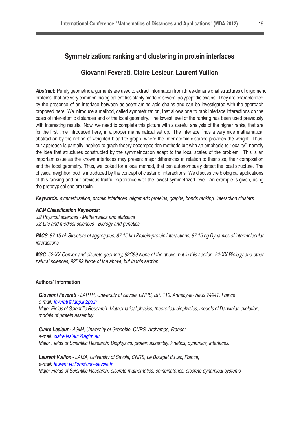#### **Symmetrization: ranking and clustering in protein interfaces**

#### **Giovanni Feverati, Claire Lesieur, Laurent Vuillon**

**Abstract:** Purely geometric arguments are used to extract information from three-dimensional structures of oligomeric proteins, that are very common biological entities stably made of several polypeptidic chains. They are characterized by the presence of an interface between adjacent amino acid chains and can be investigated with the approach proposed here. We introduce a method, called symmetrization, that allows one to rank interface interactions on the basis of inter-atomic distances and of the local geometry. The lowest level of the ranking has been used previously with interesting results. Now, we need to complete this picture with a careful analysis of the higher ranks, that are for the first time introduced here, in a proper mathematical set up. The interface finds a very nice mathematical abstraction by the notion of weighted bipartite graph, where the inter-atomic distance provides the weight. Thus, our approach is partially inspired to graph theory decomposition methods but with an emphasis to "locality", namely the idea that structures constructed by the symmetrization adapt to the local scales of the problem. This is an important issue as the known interfaces may present major differences in relation to their size, their composition and the local geometry. Thus, we looked for a local method, that can autonomously detect the local structure. The physical neighborhood is introduced by the concept of cluster of interactions. We discuss the biological applications of this ranking and our previous fruitful experience with the lowest symmetrized level. An example is given, using the prototypical cholera toxin.

**Keywords:** symmetrization, protein interfaces, oligomeric proteins, graphs, bonds ranking, interaction clusters.

#### **ACM Classification Keywords**:

J.2 Physical sciences - Mathematics and statistics J.3 Life and medical sciences - Biology and genetics

**PACS**: 87.15.bk Structure of aggregates, 87.15.km Protein-protein interactions, 87.15.hg Dynamics of intermolecular interactions

**MSC**: 52-XX Convex and discrete geometry, 52C99 None of the above, but in this section, 92-XX Biology and other natural sciences, 92B99 None of the above, but in this section

#### **Authors' Information**

**Giovanni Feverati** - LAPTH, University of Savoie, CNRS, BP: 110, Annecy-le-Vieux 74941, France e-mail: [feverati@lapp.in2p3.fr](mailto:feverati@lapp.in2p3.fr) Major Fields of Scientific Research: Mathematical physics, theoretical biophysics, models of Darwinian evolution, models of protein assembly.

**Claire Lesieur** - AGIM, University of Grenoble, CNRS, Archamps, France; e-mail: [claire.lesieur@agim.eu](mailto:claire.lesieur@agim.eu) Major Fields of Scientific Research: Biophysics, protein assembly, kinetics, dynamics, interfaces.

**Laurent Vuillon** - LAMA, University of Savoie, CNRS, Le Bourget du lac, France; e-mail: [laurent.vuillon@univ-savoie.fr](mailto:laurent.vuillon@univ-savoie.fr) Major Fields of Scientific Research: discrete mathematics, combinatorics, discrete dynamical systems.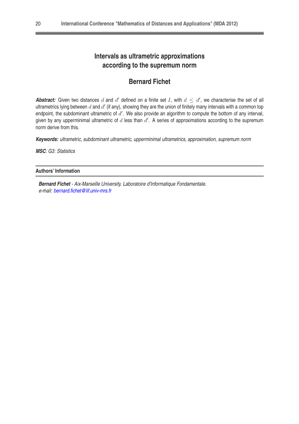## **Intervals as ultrametric approximations according to the supremum norm**

## **Bernard Fichet**

**Abstract:** Given two distances  $d$  and  $d'$  defined on a finite set  $I$ , with  $d \leq d'$ , we characterise the set of all ultrametrics lying between  $d$  and  $d'$  (if any), showing they are the union of finitely many intervals with a common top endpoint, the subdominant ultrametric of  $d'$ . We also provide an algorithm to compute the bottom of any interval, given by any upperminimal ultrametric of  $d$  less than  $d'$ . A series of approximations according to the supremum norm derive from this.

**Keywords:** ultrametric, subdominant ultrametric, upperminimal ultrametrics, approximation, supremum norm

**MSC**: G3: Statistics

#### **Authors' Information**

**Bernard Fichet** - Aix-Marseille University. Laboratoire d'Informatique Fondamentale. e-mail: [bernard.fichet@lif.univ-mrs.fr](mailto:bernard.fichet@lif.univ-mrs.fr)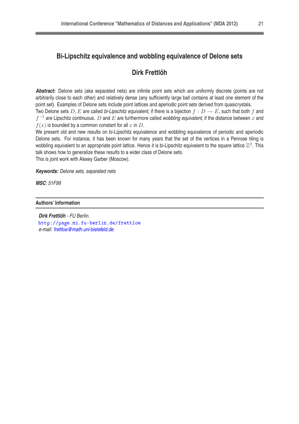## **Bi-Lipschitz equivalence and wobbling equivalence of Delone sets**

## **Dirk Frettlöh**

**Abstract:** Delone sets (aka separated nets) are infinite point sets which are uniformly discrete (points are not arbitrarily close to each other) and relatively dense (any sufficiently large ball contains at least one element of the point set). Examples of Delone sets include point lattices and aperiodic point sets derived from quasicrystals.

Two Delone sets D, E are called bi-Lipschitz equivalent, if there is a bijection  $f : D \to E$ , such that both f and  $f^{-1}$  are Lipschitz continuous.  $D$  and  $E$  are furthermore called wobbling equivalent, if the distance between  $x$  and  $f(x)$  is bounded by a common constant for all x in D.

We present old and new results on bi-Lipschitz equivalence and wobbling equivalence of periodic and aperiodic Delone sets. For instance, it has been known for many years that the set of the vertices in a Penrose tiling is wobbling equivalent to an appropriate point lattice. Hence it is bi-Lipschitz equivalent to the square lattice  $\mathbb{Z}^2$ . This talk shows how to generalize these results to a wider class of Delone sets.

This is joint work with Alexey Garber (Moscow).

**Keywords:** Delone sets, separated nets

**MSC**: 51F99

**Authors' Information**

**Dirk Frettlöh** - FU Berlin. <http://page.mi.fu-berlin.de/frettloe> e-mail: [frettloe@math.uni-bielefeld.de](mailto:frettloe@math.uni-bielefeld.de)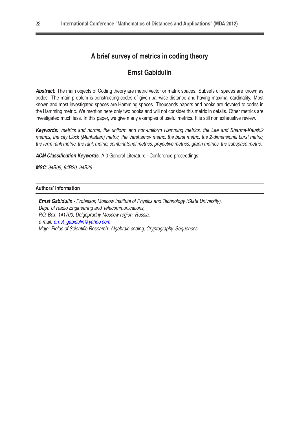## **A brief survey of metrics in coding theory**

## **Ernst Gabidulin**

Abstract: The main objects of Coding theory are metric vector or matrix spaces. Subsets of spaces are known as codes. The main problem is constructing codes of given pairwise distance and having maximal cardinality. Most known and most investigated spaces are Hamming spaces. Thousands papers and books are devoted to codes in the Hamming metric. We mention here only two books and will not consider this metric in details. Other metrics are investigated much less. In this paper, we give many examples of useful metrics. It is still non exhaustive review.

**Keywords:** metrics and norms, the uniform and non-uniform Hamming metrics, the Lee and Sharma-Kaushik metrics, the city block (Manhattan) metric, the Varshamov metric, the burst metric, the 2-dimensional burst metric, the term rank metric, the rank metric, combinatorial metrics, projective metrics, graph metrics, the subspace metric.

**ACM Classification Keywords**: A.0 General Literature - Conference proceedings

**MSC**: 94B05, 94B20, 94B25

#### **Authors' Information**

<span id="page-21-0"></span>**Ernst Gabidulin** - Professor, Moscow Institute of Physics and Technology (State University), Dept. of Radio Engineering and Telecommunications, P.O. Box: 141700, Dolgoprudny Moscow region, Russia; e-mail: [ernst\\_gabidulin@yahoo.com](mailto:ernst{_}gabidulin@yahoo.com) Major Fields of Scientific Research: Algebraic coding, Cryptography, Sequences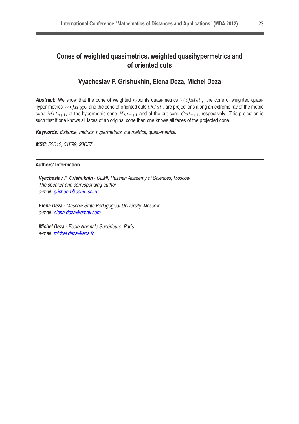## **Cones of weighted quasimetrics, weighted quasihypermetrics and of oriented cuts**

## **Vyacheslav P. Grishukhin, Elena Deza, Michel Deza**

**Abstract:** We show that the cone of weighted n-points quasi-metrics  $WQMet_n$ , the cone of weighted quasihyper-metrics  $WQHyp_n$  and the cone of oriented cuts  $OCut_n$  are projections along an extreme ray of the metric cone  $Met_{n+1}$ , of the hypermetric cone  $Hyp_{n+1}$  and of the cut cone  $Cut_{n+1}$ , respectively. This projection is such that if one knows all faces of an original cone then one knows all faces of the projected cone.

**Keywords:** distance, metrics, hypermetrics, cut metrics, quasi-metrics.

**MSC**: 52B12, 51F99, 90C57

#### **Authors' Information**

**Vyacheslav P. Grishukhin** - CEMI, Russian Academy of Sciences, Moscow. The speaker and corresponding author. e-mail: [grishuhn@cemi.rssi.ru](mailto:grishuhn@cemi.rssi.ru)

**Elena Deza** - Moscow State Pedagogical University, Moscow. e-mail: [elena.deza@gmail.com](mailto:elena.deza@gmail.com)

**Michel Deza** - Ecole Normale Supérieure, Paris. e-mail: [michel.deza@ens.fr](mailto:michel.deza@ens.fr)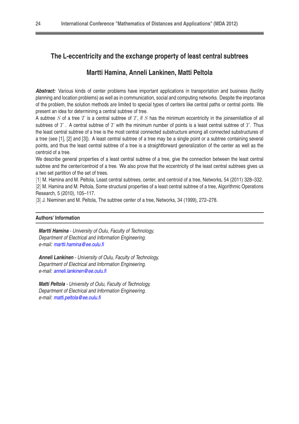## **The L-eccentricity and the exchange property of least central subtrees**

## **Martti Hamina, Anneli Lankinen, Matti Peltola**

Abstract: Various kinds of center problems have important applications in transportation and business (facility planning and location problems) as well as in communication, social and computing networks. Despite the importance of the problem, the solution methods are limited to special types of centers like central paths or central points. We present an idea for determining a central subtree of tree.

A subtree  $S$  of a tree  $T$  is a central subtree of  $T$ , if  $S$  has the minimum eccentricity in the joinsemilattice of all subtrees of  $T$ . A central subtree of  $T$  with the minimum number of points is a least central subtree of  $T$ . Thus the least central subtree of a tree is the most central connected substructure among all connected substructures of a tree (see [1], [2] and [3]). A least central subtree of a tree may be a single point or a subtree containing several points, and thus the least central subtree of a tree is a straightforward generalization of the center as well as the centroid of a tree.

We describe general properties of a least central subtree of a tree, give the connection between the least central subtree and the center/centroid of a tree. We also prove that the eccentricity of the least central subtrees gives us a two set partition of the set of trees.

[1] M. Hamina and M. Peltola, Least central subtrees, center, and centroid of a tree, Networks, 54 (2011) 328–332. [2] M. Hamina and M. Peltola, Some structural properties of a least central subtree of a tree, Algorithmic Operations Research, 5 (2010), 105–117.

[3] J. Nieminen and M. Peltola, The subtree center of a tree, Networks, 34 (1999), 272–278.

#### **Authors' Information**

**Martti Hamina** - University of Oulu, Faculty of Technology, Department of Electrical and Information Engineering. e-mail: [martti.hamina@ee.oulu.fi](mailto:martti.hamina@ee.oulu.fi)

**Anneli Lankinen** - University of Oulu, Faculty of Technology, Department of Electrical and Information Engineering. e-mail: [anneli.lankinen@ee.oulu.fi](mailto:anneli.lankinen@ee.oulu.fi)

**Matti Peltola** - University of Oulu, Faculty of Technology, Department of Electrical and Information Engineering. e-mail: [matti.peltola@ee.oulu.fi](mailto:matti.peltola@ee.oulu.fi)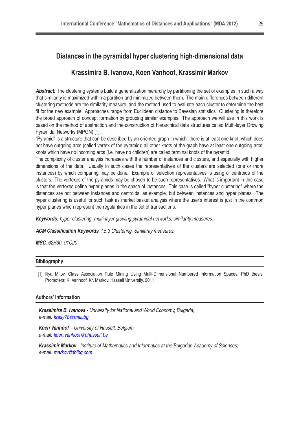## **Distances in the pyramidal hyper clustering high-dimensional data**

#### **Krassimira B. Ivanova, Koen Vanhoof, Krassimir Markov**

**Abstract:** The clustering systems build a generalization hierarchy by partitioning the set of examples in such a way that similarity is maximized within a partition and minimized between them. The main differences between different clustering methods are the similarity measure, and the method used to evaluate each cluster to determine the best fit for the new example. Approaches range from Euclidean distance to Bayesian statistics. Clustering is therefore the broad approach of concept formation by grouping similar examples. The approach we will use in this work is based on the method of abstraction and the construction of hierarchical data structures called Multi-layer Growing Pyramidal Networks (MPGN) [\[1\]](#page-21-0).

"Pyramid" is a structure that can be described by an oriented graph in which: there is at least one knot, which does not have outgoing arcs (called vertex of the pyramid); all other knots of the graph have at least one outgoing arcs; knots which have no incoming arcs (i.e. have no children) are called terminal knots of the pyramid.

The complexity of cluster analysis increases with the number of instances and clusters, and especially with higher dimensions of the data. Usually in such cases the representatives of the clusters are selected (one or more instances) by which comparing may be done. Example of selection representatives is using of centroids of the clusters. The vertexes of the pyramids may be chosen to be such representatives. What is important in this case is that the vertexes define hyper planes in the space of instances. This case is called "hyper clustering" where the distances are not between instances and centroids, as example, but between instances and hyper planes. The hyper clustering is useful for such task as market basket analysis where the user's interest is just in the common hyper planes which represent the regularities in the set of transactions.

**Keywords:** hyper clustering, multi-layer growing pyramidal networks, similarity measures.

**ACM Classification Keywords**: I.5.3 Clustering; Similarity measures.

**MSC**: 62H30, 91C20

| <b>Bibliography</b> |  |  |
|---------------------|--|--|
|                     |  |  |

[1] Iliya Mitoy. Class Association Rule Mining Using Multi-Dimensional Numbered Information Spaces. PhD thesis. Promoters: K. Vanhoof, Kr. Markov. Hasselt University, 2011

#### **Authors' Information**

**Krassimira B. Ivanova** - University for National and World Economy, Bulgaria; e-mail: [krasy78@mail.bg](mailto:krasy78@mail.bg)

**Koen Vanhoof** - University of Hasselt, Belgium; e-mail: [koen.vanhoof@uhasselt.be](mailto:koen.vanhoof@uhasselt.be)

**Krassimir Markov** - Institute of Mathematics and Informatics at the Bulgarian Academy of Sciences; e-mail: [markov@foibg.com](mailto:markov@foibg.com)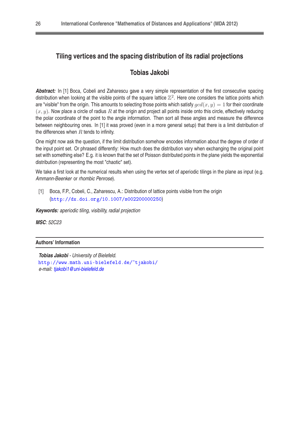## **Tiling vertices and the spacing distribution of its radial projections**

## **Tobias Jakobi**

**Abstract:** In [1] Boca, Cobeli and Zaharescu gave a very simple representation of the first consecutive spacing distribution when looking at the visible points of the square lattice  $\mathbb{Z}^2$ . Here one considers the lattice points which are "visible" from the origin. This amounts to selecting those points which satisfy  $gcd(x, y) = 1$  for their coordinate  $(x, y)$ . Now place a circle of radius R at the origin and project all points inside onto this circle, effectively reducing the polar coordinate of the point to the angle information. Then sort all these angles and measure the difference between neighbouring ones. In [1] it was proved (even in a more general setup) that there is a limit distribution of the differences when  $R$  tends to infinity.

One might now ask the question, if the limit distribution somehow encodes information about the degree of order of the input point set. Or phrased differently: How much does the distribution vary when exchanging the original point set with something else? E.g. it is known that the set of Poisson distributed points in the plane yields the exponential distribution (representing the most "chaotic" set).

We take a first look at the numerical results when using the vertex set of aperiodic tilings in the plane as input (e.g. Ammann-Beenker or rhombic Penrose).

[1] Boca, F.P., Cobeli, C., Zaharescu, A.: Distribution of lattice points visible from the origin (<http://dx.doi.org/10.1007/s002200000250>)

**Keywords:** aperiodic tiling, visibility, radial projection

**MSC**: 52C23

#### **Authors' Information**

```
Tobias Jakobi - University of Bielefeld.
http://www.math.uni-bielefeld.de/~tjakobi/
e-mail: tjakobi1@uni-bielefeld.de
```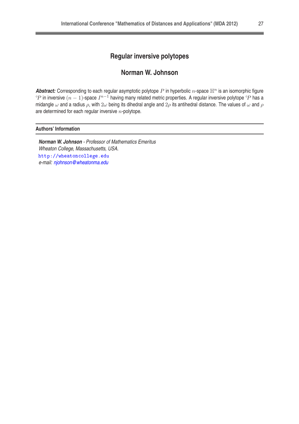## **Regular inversive polytopes**

## **Norman W. Johnson**

**Abstract:** Corresponding to each regular asymptotic polytope  $P$  in hyperbolic  $n$ -space  $\mathbb{H}^n$  is an isomorphic figure °P in inversive  $(n-1)$ -space  $I^{n-1}$  having many related metric properties. A regular inversive polytope °P has a midangle  $\omega$  and a radius  $\rho$ , with  $2\omega$  being its dihedral angle and  $2\rho$  its antihedral distance. The values of  $\omega$  and  $\rho$ are determined for each regular inversive  $n$ -polytope.

#### **Authors' Information**

**Norman W. Johnson** - Professor of Mathematics Emeritus Wheaton College, Massachusetts, USA. [http://wheaton
ollege.edu](http://wheatoncollege.edu) e-mail: [njohnson@wheatonma.edu](mailto:njohnson@wheatonma.edu)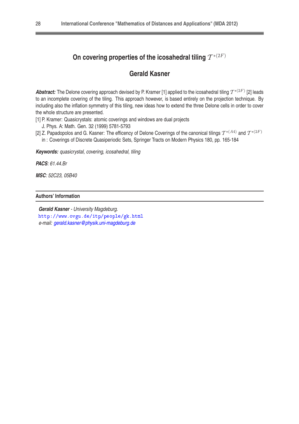## On covering properties of the icosahedral tiling  $\mathcal{T}^{*(2F)}$

## **Gerald Kasner**

Abstract: The Delone covering approach devised by P. Kramer [1] applied to the icosahedral tiling  $T^{*(2F)}$  [2] leads to an incomplete covering of the tiling. This approach however, is based entirely on the projection technique. By including also the inflation symmetry of this tiling, new ideas how to extend the three Delone cells in order to cover the whole structure are presented.

[1] P. Kramer: Quasicrystals: atomic coverings and windows are dual projects

J. Phys. A: Math. Gen. 32 (1999) 5781-5793

[2] Z. Papadopolos and G. Kasner: The efficency of Delone Coverings of the canonical tilings  $\mathcal{T}^{*(A4)}$  and  $\mathcal{T}^{*(2F)}$ in : Coverings of Discrete Quasiperiodic Sets, Springer Tracts on Modern Physics 180, pp. 165-184

**Keywords:** quasicrystal, covering, icosahedral, tiling

**PACS**: 61.44.Br

**MSC**: 52C23, 05B40

#### **Authors' Information**

**Gerald Kasner** - University Magdeburg. <http://www.ovgu.de/itp/people/gk.html>e-mail: [gerald.kasner@physik.uni-magdeburg.de](mailto:gerald.kasner@physik.uni-magdeburg.de)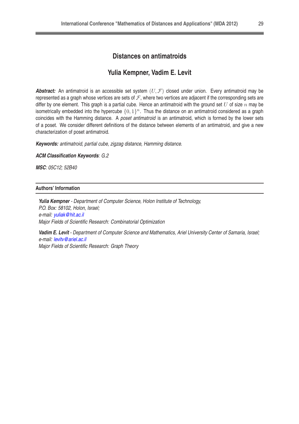#### **Distances on antimatroids**

#### **Yulia Kempner, Vadim E. Levit**

**Abstract:** An antimatroid is an accessible set system  $(U, \mathcal{F})$  closed under union. Every antimatroid may be represented as a graph whose vertices are sets of  $F$ , where two vertices are adjacent if the corresponding sets are differ by one element. This graph is a partial cube. Hence an antimatroid with the ground set  $U$  of size  $n$  may be isometrically embedded into the hypercube  $\{0,1\}^n$ . Thus the distance on an antimatroid considered as a graph coincides with the Hamming distance. A poset antimatroid is an antimatroid, which is formed by the lower sets of a poset. We consider different definitions of the distance between elements of an antimatroid, and give a new characterization of poset antimatroid.

**Keywords:** antimatroid, partial cube, zigzag distance, Hamming distance.

**ACM Classification Keywords**: G.2

**MSC**: 05C12; 52B40

#### **Authors' Information**

**Yulia Kempner** - Department of Computer Science, Holon Institute of Technology, P.O. Box: 58102, Holon, Israel; e-mail: [yuliak@hit.ac.il](mailto:yuliak@hit.ac.il) Major Fields of Scientific Research: Combinatorial Optimization

**Vadim E. Levit** - Department of Computer Science and Mathematics, Ariel University Center of Samaria, Israel; e-mail: [levitv@ariel.ac.il](mailto:levitv@ariel.ac.il) Major Fields of Scientific Research: Graph Theory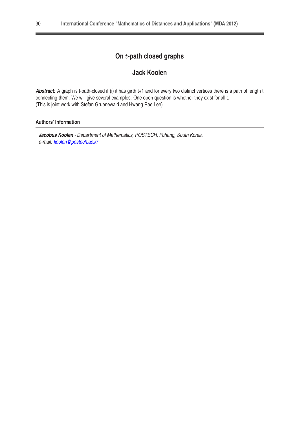## **On** t**-path closed graphs**

## **Jack Koolen**

**Abstract:** A graph is t-path-closed if (i) it has girth t+1 and for every two distinct vertices there is a path of length t connecting them. We will give several examples. One open question is whether they exist for all t. (This is joint work with Stefan Gruenewald and Hwang Rae Lee)

#### **Authors' Information**

**Jacobus Koolen** - Department of Mathematics, POSTECH, Pohang, South Korea. e-mail: [koolen@postech.ac.kr](mailto:koolen@postech.ac.kr)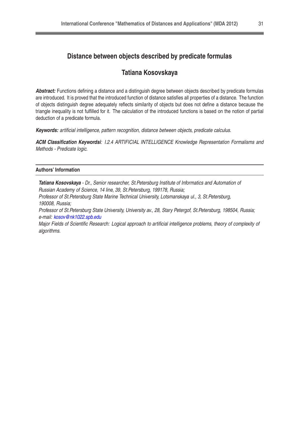#### **Distance between objects described by predicate formulas**

#### **Tatiana Kosovskaya**

**Abstract:** Functions defining a distance and a distinguish degree between objects described by predicate formulas are introduced. It is proved that the introduced function of distance satisfies all properties of a distance. The function of objects distinguish degree adequately reflects similarity of objects but does not define a distance because the triangle inequality is not fulfilled for it. The calculation of the introduced functions is based on the notion of partial deduction of a predicate formula.

**Keywords:** artificial intelligence, pattern recognition, distance between objects, predicate calculus.

**ACM Classification Keywordsi**: I.2.4 ARTIFICIAL INTELLIGENCE Knowledge Representation Formalisms and Methods - Predicate logic.

#### **Authors' Information**

**Tatiana Kosovskaya** - Dr., Senior researcher, St.Petersburg Institute of Informatics and Automation of Russian Academy of Science, 14 line, 39, St.Petersburg, 199178, Russia;

Professor of St.Petersburg State Marine Technical University, Lotsmanskaya ul., 3, St.Petersburg, 190008, Russia;

Professor of St. Petersburg State University, University av., 28, Stary Petergof, St. Petersburg, 198504, Russia; e-mail: [kosov@nk1022.spb.edu](mailto:kosov@nk1022.spb.edu)

Major Fields of Scientific Research: Logical approach to artificial intelligence problems, theory of complexity of algorithms.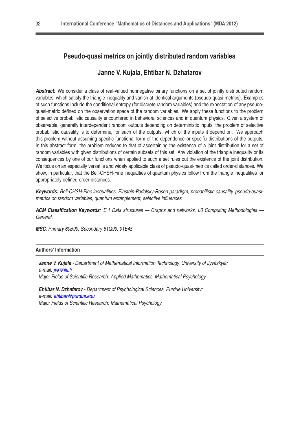## **Pseudo-quasi metrics on jointly distributed random variables**

#### **Janne V. Kujala, Ehtibar N. Dzhafarov**

Abstract: We consider a class of real-valued nonnegative binary functions on a set of jointly distributed random variables, which satisfy the triangle inequality and vanish at identical arguments (pseudo-quasi-metrics). Examples of such functions include the conditional entropy (for discrete random variables) and the expectation of any pseudoquasi-metric defined on the observation space of the random variables. We apply these functions to the problem of selective probabilistic causality encountered in behavioral sciences and in quantum physics. Given a system of observable, generally interdependent random outputs depending on deterministic inputs, the problem of selective probabilistic causality is to determine, for each of the outputs, which of the inputs it depend on. We approach this problem without assuming specific functional form of the dependence or specific distributions of the outputs. In this abstract form, the problem reduces to that of ascertaining the existence of a joint distribution for a set of random variables with given distributions of certain subsets of this set. Any violation of the triangle inequality or its consequences by one of our functions when applied to such a set rules out the existence of the joint distribution. We focus on an especially versatile and widely applicable class of pseudo-quasi-metrics called order-distances. We show, in particular, that the Bell-CHSH-Fine inequalties of quantum physics follow from the triangle inequalities for appropriately defined order-distances.

**Keywords:** Bell-CHSH-Fine inequalities, Einstein-Podolsky-Rosen paradigm, probabilistic causality, pseudo-quasimetrics on random variables, quantum entanglement, selective influences.

**ACM Classification Keywords**: E.1 Data structures — Graphs and networks, I.0 Computing Methodologies — General.

**MSC**: Primary 60B99, Secondary 81Q99, 91E45

#### **Authors' Information**

**Janne V. Kujala** - Department of Mathematical Information Technology, University of Jyväskylä; e-mail: *[jvk@iki.fi](mailto:jvk@iki.fi)* Major Fields of Scientific Research: Applied Mathematics, Mathematical Psychology

**Ehtibar N. Dzhafarov** - Department of Psychological Sciences, Purdue University; e-mail: [ehtibar@purdue.edu](mailto:ehtibar@purdue.edu) Major Fields of Scientific Research: Mathematical Psychology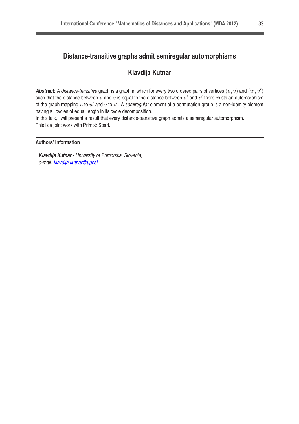## **Distance-transitive graphs admit semiregular automorphisms**

## **Klavdija Kutnar**

Abstract: A distance-transitive graph is a graph in which for every two ordered pairs of vertices  $(u, v)$  and  $(u', v')$ such that the distance between  $u$  and  $v$  is equal to the distance between  $u'$  and  $v'$  there exists an automorphism of the graph mapping  $u$  to  $u'$  and  $v$  to  $v'$ . A semiregular element of a permutation group is a non-identity element having all cycles of equal length in its cycle decomposition.

In this talk, I will present a result that every distance-transitive graph admits a semiregular automorphism. This is a joint work with Primož Šparl.

#### **Authors' Information**

**Klavdija Kutnar** - University of Primorska, Slovenia; e-mail: [klavdija.kutnar@upr.si](mailto:klavdija.kutnar@upr.si)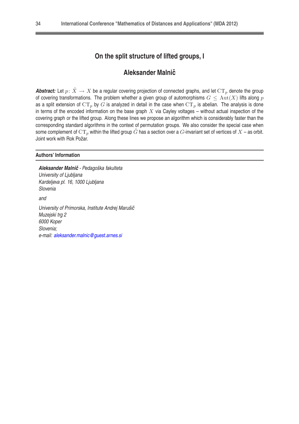## **On the split structure of lifted groups, I**

#### **Aleksander Malnicˇ**

**Abstract:** Let  $p: \tilde{X} \to X$  be a regular covering projection of connected graphs, and let  $CT_p$  denote the group of covering transformations. The problem whether a given group of automorphisms  $G \leq \text{Aut}(X)$  lifts along p as a split extension of  $CT_p$  by G is analyzed in detail in the case when  $CT_p$  is abelian. The analysis is done in terms of the encoded information on the base graph  $X$  via Cayley voltages – without actual inspection of the covering graph or the lifted group. Along these lines we propose an algorithm which is considerably faster than the corresponding standard algorithms in the context of permutation groups. We also consider the special case when some complement of  $CT_p$  within the lifted group  $\tilde{G}$  has a section over a G-invariant set of vertices of  $X$  – as orbit. Joint work with Rok Požar.

#### **Authors' Information**

Aleksander Malnič - Pedagoška fakulteta University of Ljubljana Kardeljeva pl. 16, 1000 Ljubljana Slovenia and University of Primorska, Institute Andrej Marušič Muzejski trg 2 6000 Koper Slovenia; e-mail: [aleksander.malnic@guest.arnes.si](mailto:aleksander.malnic@guest.arnes.si)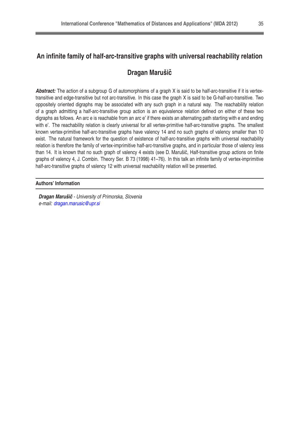## **An infinite family of half-arc-transitive graphs with universal reachability relation**

## **Dragan Marušicˇ**

Abstract: The action of a subgroup G of automorphisms of a graph X is said to be half-arc-transitive if it is vertextransitive and edge-transitive but not arc-transitive. In this case the graph X is said to be G-half-arc-transitive. Two oppositely oriented digraphs may be associated with any such graph in a natural way. The reachability relation of a graph admitting a half-arc-transitive group action is an equivalence relation defined on either of these two digraphs as follows. An arc e is reachable from an arc e' if there exists an alternating path starting with e and ending with e'. The reachability relation is clearly universal for all vertex-primitive half-arc-transitive graphs. The smallest known vertex-primitive half-arc-transitive graphs have valency 14 and no such graphs of valency smaller than 10 exist. The natural framework for the question of existence of half-arc-transitive graphs with universal reachability relation is therefore the family of vertex-imprimitive half-arc-transitive graphs, and in particular those of valency less than 14. It is known that no such graph of valency 4 exists (see D. Marušič. Half-transitive group actions on finite graphs of valency 4, J. Combin. Theory Ser. B 73 (1998) 41–76). In this talk an infinite family of vertex-imprimitive half-arc-transitive graphs of valency 12 with universal reachability relation will be presented.

#### **Authors' Information**

**Dragan Marušič** - University of Primorska, Slovenia e-mail: [dragan.marusic@upr.si](mailto:dragan.marusic@upr.si)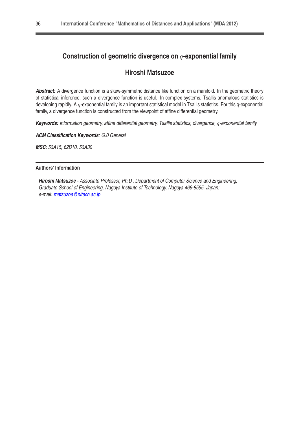## **Construction of geometric divergence on** q**-exponential family**

## **Hiroshi Matsuzoe**

**Abstract:** A divergence function is a skew-symmetric distance like function on a manifold. In the geometric theory of statistical inference, such a divergence function is useful. In complex systems, Tsallis anomalous statistics is developing rapidly. A  $q$ -exponential family is an important statistical model in Tsallis statistics. For this q-exponential family, a divergence function is constructed from the viewpoint of affine differential geometry.

**Keywords:** information geometry, affine differential geometry, Tsallis statistics, divergence, q-exponential family

**ACM Classification Keywords**: G.0 General

**MSC**: 53A15, 62B10, 53A30

#### **Authors' Information**

**Hiroshi Matsuzoe** - Associate Professor, Ph.D., Department of Computer Science and Engineering, Graduate School of Engineering, Nagoya Institute of Technology, Nagoya 466-8555, Japan; e-mail: [matsuzoe@nitech.ac.jp](mailto:matsuzoe@nitech.ac.jp)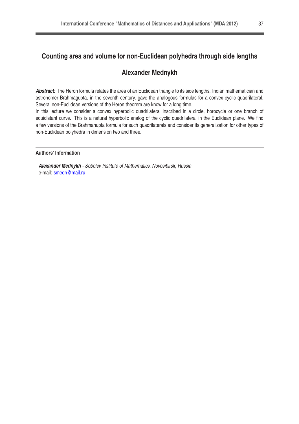## **Counting area and volume for non-Euclidean polyhedra through side lengths**

## **Alexander Mednykh**

**Abstract:** The Heron formula relates the area of an Euclidean triangle to its side lengths. Indian mathematician and astronomer Brahmagupta, in the seventh century, gave the analogous formulas for a convex cyclic quadrilateral. Several non-Euclidean versions of the Heron theorem are know for a long time.

In this lecture we consider a convex hyperbolic quadrilateral inscribed in a circle, horocycle or one branch of equidistant curve. This is a natural hyperbolic analog of the cyclic quadrilateral in the Euclidean plane. We find a few versions of the Brahmahupta formula for such quadrilaterals and consider its generalization for other types of non-Euclidean polyhedra in dimension two and three.

#### **Authors' Information**

**Alexander Mednykh** - Sobolev Institute of Mathematics, Novosibirsk, Russia e-mail: [smedn@mail.ru](mailto:smedn@mail.ru)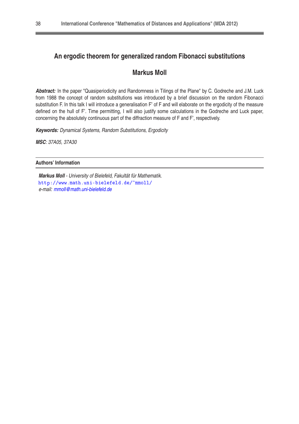## **An ergodic theorem for generalized random Fibonacci substitutions**

#### **Markus Moll**

**Abstract:** In the paper "Quasiperiodicity and Randomness in Tilings of the Plane" by C. Godreche and J.M. Luck from 1988 the concept of random substitutions was introduced by a brief discussion on the random Fibonacci substitution F. In this talk I will introduce a generalisation F' of F and will elaborate on the ergodicity of the measure defined on the hull of F'. Time permitting, I will also justify some calculations in the Godreche and Luck paper, concerning the absolutely continuous part of the diffraction measure of F and F', respectively.

**Keywords:** Dynamical Systems, Random Substitutions, Ergodicity

**MSC**: 37A05, 37A30

**Authors' Information**

**Markus Moll** - University of Bielefeld, Fakultät für Mathematik. <http://www.math.uni-bielefeld.de/~mmoll/> e-mail: [mmoll@math.uni-bielefeld.de](mailto:mmoll@math.uni-bielefeld.de)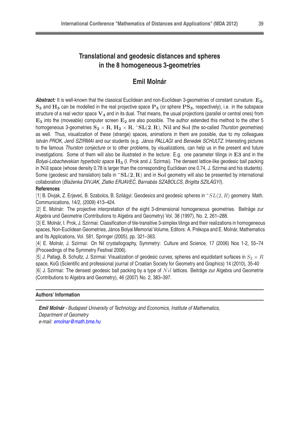## **Translational and geodesic distances and spheres in the 8 homogeneous 3-geometries**

## **Emil Molnár**

Abstract: It is well-known that the classical Euclidean and non-Euclidean 3-geometries of constant curvature: E<sub>3</sub>,  $S_3$  and  $H_3$  can be modelled in the real projective space  $P_3$  (or sphere  $PS_3$ , respectively), i.e. in the subspace structure of a real vector space  $V_4$  and in its dual. That means, the usual projections (parallel or central ones) from  $E_3$  into the (moveable) computer screen  $E_2$  are also possible. The author extended this method to the other 5 homogeneous 3-geometries  $S_2 \times R$ ,  $H_2 \times R$ ,  $\sim SL(2, R)$ , Nil and Sol (the so-called Thurston geometries) as well. Thus, visualization of these (strange) spaces, animations in them are possible, due to my colleagues István PROK, Jenő SZIRMAI and our students (e.g. János PALLAGI and Benedek SCHULTZ, Interesting pictures to the famous Thurston conjecture or to other problems, by visualizations, can help us in the present and future investigations. Some of them will also be illustrated in the lecture: E.g. one parameter tilings in E3 and in the Bolyai-Lobachevskian hyperbolic space  $H_3$  (I. Prok and J. Szirmai). The densest lattice-like geodesic ball packing in Nil space (whose density 0.78 is larger than the corresponding Euclidean one 0.74, J. Szirmai and his students). Some (geodesic and translation) balls in  $\mathbb{S}L(2,R)$  and in So1 geometry will also be presented by international collaboration (Blaženka DIVJAK, Zlatko ERJAVEĆ, Barnabás SZABOLCS, Brigitta SZILÁGYI).

#### **References**

[1] B. Divjak, Z. Erjaveć, B. Szabolcs, B. Szilágyi: Geodesics and geodesic spheres in  $\tilde{L}(2,R)$  geometry. Math. Communications, 14/2, (2009) 413–424.

[2] E. Molnár: The projective interpretation of the eight 3-dimensional homogeneous geometries. Beiträge zur Algebra und Geometrie (Contributions to Algebra and Geometry) Vol. 38 (1997), No. 2, 261–288.

[3] E. Molnár, I. Prok, J. Szirmai: Classification of tile-transitive 3-simplex tilings and their realizations in homogeneous spaces, Non-Euclidean Geometries, János Bolyai Memorial Volume, Editors: A. Prékopa and E. Molnár, Mathematics and Its Applications, Vol. 581, Springer (2005), pp. 321–363.

[4] E. Molnár, J. Szirmai: On Nil crystallography, Symmetry: Culture and Science, 17 (2006) Nos 1-2, 55–74 (Proceedings of the Symmetry Festival 2006).

[5] J. Pallagi, B. Schultz, J. Szirmai: Visualization of geodesic curves, spheres and equidistant surfaces in  $S_2 \times R$ space, KoG (Scientific and professional journal of Croatian Society for Geometry and Graphics) 14 (2010), 35-40

[6] J. Szirmai: The densest geodesic ball packing by a type of  $Nil$  lattices. Beiträge zur Algebra und Geometrie (Contributions to Algebra and Geometry), 46 (2007) No. 2, 383–397.

#### **Authors' Information**

**Emil Molnár** - Budapest University of Technology and Economics, Institute of Mathematics, Department of Geometry e-mail: [emolnar@math.bme.hu](mailto:emolnar@math.bme.hu)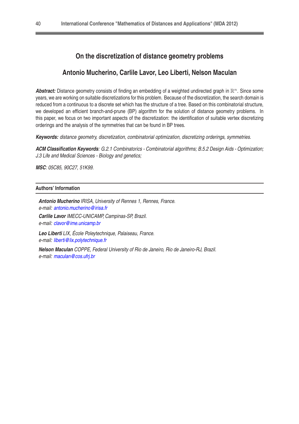#### **On the discretization of distance geometry problems**

#### **Antonio Mucherino, Carlile Lavor, Leo Liberti, Nelson Maculan**

Abstract: Distance geometry consists of finding an embedding of a weighted undirected graph in  $\mathbb{R}^n$ . Since some years, we are working on suitable discretizations for this problem. Because of the discretization, the search domain is reduced from a continuous to a discrete set which has the structure of a tree. Based on this combinatorial structure, we developed an efficient branch-and-prune (BP) algorithm for the solution of distance geometry problems. In this paper, we focus on two important aspects of the discretization: the identification of suitable vertex discretizing orderings and the analysis of the symmetries that can be found in BP trees.

**Keywords:** distance geometry, discretization, combinatorial optimization, discretizing orderings, symmetries.

**ACM Classification Keywords**: G.2.1 Combinatorics - Combinatorial algorithms; B.5.2 Design Aids - Optimization; J.3 Life and Medical Sciences - Biology and genetics;

**MSC**: 05C85, 90C27, 51K99.

#### **Authors' Information**

**Antonio Mucherino** IRISA, University of Rennes 1, Rennes, France. e-mail: [antonio.mucherino@irisa.fr](mailto:antonio.mucherino@irisa.fr) **Carlile Lavor** IMECC-UNICAMP, Campinas-SP, Brazil. e-mail: [clavor@ime.unicamp.br](mailto:clavor@ime.unicamp.br)

**Leo Liberti** LIX, École Poleytechnique, Palaiseau, France. e-mail: [liberti@lix.polytechnique.fr](mailto:liberti@lix.polytechnique.fr)

**Nelson Maculan** COPPE, Federal University of Rio de Janeiro, Rio de Janeiro-RJ, Brazil. e-mail: [maculan@cos.ufrj.br](mailto:maculan@cos.ufrj.br)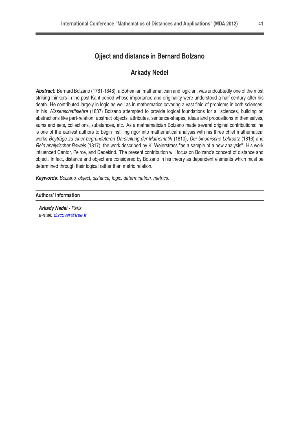## **Ojject and distance in Bernard Bolzano**

#### **Arkady Nedel**

**Abstract:** Bernard Bolzano (1781-1848), a Bohemian mathematician and logician, was undoubtedly one of the most striking thinkers in the post-Kant period whose importance and originality were understood a half century after his death. He contributed largely in logic as well as in mathematics covering a vast field of problems in both sciences. In his Wissenschaftslehre (1837) Bolzano attempted to provide logical foundations for all sciences, building on abstractions like part-relation, abstract objects, attributes, sentence-shapes, ideas and propositions in themselves, sums and sets, collections, substances, etc. As a mathematician Bolzano made several original contributions: he is one of the earliest authors to begin instilling rigor into mathematical analysis with his three chief mathematical works Beyträge zu einer begründeteren Darstellung der Mathematik (1810), Der binomische Lehrsatz (1816) and Rein analytischer Beweis (1817), the work described by K. Weierstrass "as a sample of a new analysis". His work influenced Cantor, Peirce, and Dedekind. The present contribution will focus on Bolzano's concept of distance and object. In fact, distance and object are considered by Bolzano in his theory as dependent elements which must be determined through their logical rather than metric relation.

**Keywords**: Bolzano, object, distance, logic, determination, metrics.

#### **Authors' Information**

**Arkady Nedel** - Paris. e-mail: [discover@free.fr](mailto:discover@free.fr)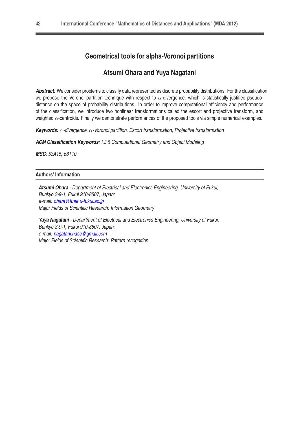## **Geometrical tools for alpha-Voronoi partitions**

#### **Atsumi Ohara and Yuya Nagatani**

**Abstract:** We consider problems to classify data represented as discrete probability distributions. For the classification we propose the Voronoi partition technique with respect to  $\alpha$ -divergence, which is statistically justified pseudodistance on the space of probability distributions. In order to improve computational efficiency and performance of the classification, we introduce two nonlinear transformations called the escort and projective transform, and weighted  $\alpha$ -centroids. Finally we demonstrate performances of the proposed tools via simple numerical examples.

**Keywords:** α-divergence, α-Voronoi partition, Escort transformation, Projective transformation

**ACM Classification Keywords**: I.3.5 Computational Geometry and Object Modeling

**MSC**: 53A15, 68T10

#### **Authors' Information**

**Atsumi Ohara** - Department of Electrical and Electronics Engineering, University of Fukui, Bunkyo 3-9-1, Fukui 910-8507, Japan; e-mail: [ohara@fuee.u-fukui.ac.jp](mailto:ohara@fuee.u-fukui.ac.jp) Major Fields of Scientific Research: Information Geometry

**Yuya Nagatani** - Department of Electrical and Electronics Engineering, University of Fukui, Bunkyo 3-9-1, Fukui 910-8507, Japan; e-mail: [nagatani.hase@gmail.com](mailto:nagatani.hase@gmail.com) Major Fields of Scientific Research: Pattern recognition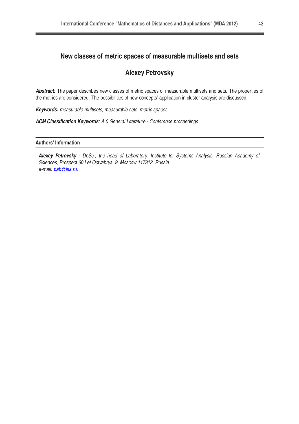## **New classes of metric spaces of measurable multisets and sets**

## **Alexey Petrovsky**

Abstract: The paper describes new classes of metric spaces of measurable multisets and sets. The properties of the metrics are considered. The possibilities of new concepts' application in cluster analysis are discussed.

**Keywords:** measurable multisets, measurable sets, metric spaces

**ACM Classification Keywords**: A.0 General Literature - Conference proceedings

#### **Authors' Information**

**Alexey Petrovsky** - Dr.Sc., the head of Laboratory, Institute for Systems Analysis, Russian Academy of Sciences, Prospect 60 Let Octyabrya, 9, Moscow 117312, Russia. e-mail: [pab@isa.ru.](mailto:pab@isa.ru)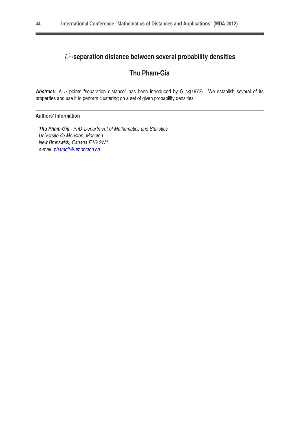## L 1 **-separation distance between several probability densities**

## **Thu Pham-Gia**

Abstract: A n points "separation distance" has been introduced by Glick(1972). We establish several of its properties and use it to perform clustering on a set of given probability densities.

#### **Authors' Information**

**Thu Pham-Gia** - PhD, Department of Mathematics and Statistics Université de Moncton, Moncton New Brunswick, Canada E1G 2W1 e-mail: [phamgit@umoncton.ca.](mailto:phamgit@umoncton.ca)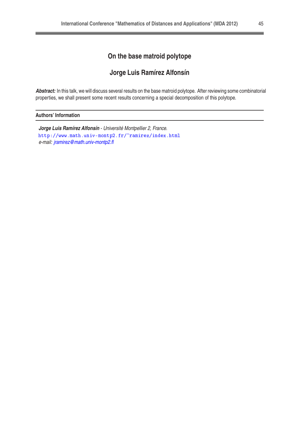## **On the base matroid polytope**

## **Jorge Luis Ramírez Alfonsín**

**Abstract:** In this talk, we will discuss several results on the base matroid polytope. After reviewing some combinatorial properties, we shall present some recent results concerning a special decomposition of this polytope.

#### **Authors' Information**

**Jorge Luis Ramírez Alfonsín** - Université Montpellier 2, France. <http://www.math.univ-montp2.fr/~ramirez/index.html> e-mail: [jramirez@math.univ-montp2.fl](mailto:jramirez@math.univ-montp2.fl)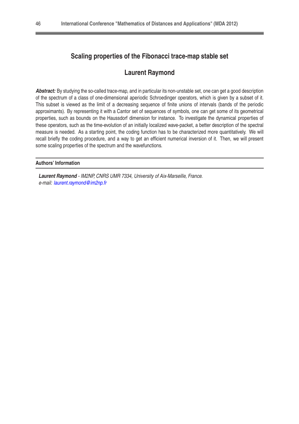## **Scaling properties of the Fibonacci trace-map stable set**

#### **Laurent Raymond**

**Abstract:** By studying the so-called trace-map, and in particular its non-unstable set, one can get a good description of the spectrum of a class of one-dimensional aperiodic Schroedinger operators, which is given by a subset of it. This subset is viewed as the limit of a decreasing sequence of finite unions of intervals (bands of the periodic approximants). By representing it with a Cantor set of sequences of symbols, one can get some of its geometrical properties, such as bounds on the Haussdorf dimension for instance. To investigate the dynamical properties of these operators, such as the time-evolution of an initially localized wave-packet, a better description of the spectral measure is needed. As a starting point, the coding function has to be characterized more quantitatively. We will recall briefly the coding procedure, and a way to get an efficient numerical inversion of it. Then, we will present some scaling properties of the spectrum and the wavefunctions.

**Authors' Information**

**Laurent Raymond** - IM2NP, CNRS UMR 7334, University of Aix-Marseille, France. e-mail: [laurent.raymond@im2np.fr](mailto:laurent.raymond@im2np.fr)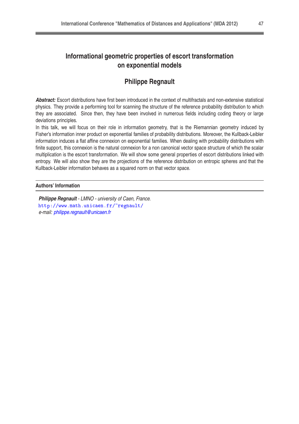## **Informational geometric properties of escort transformation on exponential models**

## **Philippe Regnault**

**Abstract:** Escort distributions have first been introduced in the context of multifractals and non-extensive statistical physics. They provide a performing tool for scanning the structure of the reference probability distribution to which they are associated. Since then, they have been involved in numerous fields including coding theory or large deviations principles.

In this talk, we will focus on their role in information geometry, that is the Riemannian geometry induced by Fisher's information inner product on exponential families of probability distributions. Moreover, the Kullback-Leibler information induces a flat affine connexion on exponential families. When dealing with probability distributions with finite support, this connexion is the natural connexion for a non canonical vector space structure of which the scalar multiplication is the escort transformation. We will show some general properties of escort distributions linked with entropy. We will also show they are the projections of the reference distribution on entropic spheres and that the Kullback-Leibler information behaves as a squared norm on that vector space.

#### **Authors' Information**

**Philippe Regnault** - LMNO - university of Caen, France. [http://www.math.uni
aen.fr/~regnault/](http://www.math.unicaen.fr/~regnault/) e-mail: [philippe.regnault@unicaen.fr](mailto:philippe.regnault@unicaen.fr)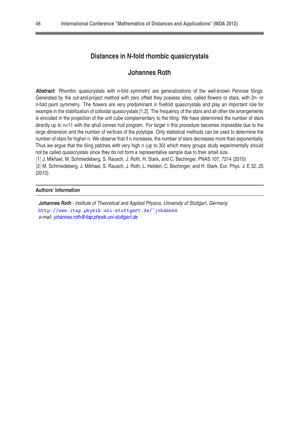## **Distances in N-fold rhombic quasicrystals**

#### **Johannes Roth**

**Abstract:** Rhombic quasicrystals with n-fold symmetry are generalizations of the well-known Penrose tilings. Generated by the cut-and-project method with zero offset they possess sites, called flowers or stars, with 2n- or n-fold point symmetry. The flowers are very predominant in fivefold quasicrystals and play an important role for example in the stabilization of colloidal quasicrystals [1,2]. The frequency of the stars and all other tile arrangements is encoded in the projection of the unit cube complementary to the tiling. We have determined the number of stars directly up to n=11 with the qhull convex hull program. For larger n this procedure becomes impossible due to the large dimension and the number of vertices of the polytope. Only statistical methods can be used to determine the number of stars for higher n. We observe that if n increases, the number of stars decreases more than exponentially. Thus we argue that the tiling patches with very high n (up to 30) which many groups study experimentally should not be called quasicrystals since they do not form a representative sample due to their small size.

[1] J. Mikhael, M. Schmiedeberg, S. Rausch, J. Roth, H. Stark, and C. Bechinger, PNAS 107, 7214 (2010).

[2] M. Schmiedeberg, J. Mikhael, S. Rausch, J. Roth, L. Helden, C. Bechinger, and H. Stark, Eur. Phys. J. E 32, 25 (2010).

#### **Authors' Information**

**Johannes Roth** - Institute of Theoretical and Applied Physics, University of Stuttgart, Germany. <http://www.itap.physik.uni-stuttgart.de/~johannes> e-mail: [johannes.roth@itap.physik.uni-stuttgart.de](mailto:johannes.roth@itap.physik.uni-stuttgart.de)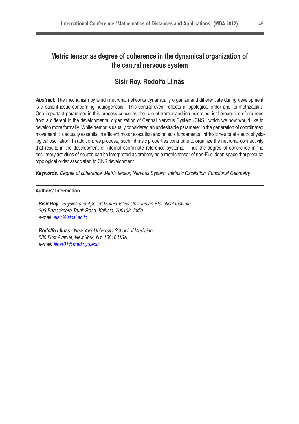## **Metric tensor as degree of coherence in the dynamical organization of the central nervous system**

## **Sisir Roy, Rodolfo Llinás**

**Abstract:** The mechanism by which neuronal networks dynamically organize and differentiate during development is a salient issue concerning neurogenesis. This central event reflects a topological order and its metrizability. One important parameter in this process concerns the role of tremor and intrinsic electrical properties of neurons from a different in the developmental organization of Central Nervous System (CNS), which we now would like to develop more formally. While tremor is usually considered an undesirable parameter in the generation of coordinated movement it is actually essential in efficient motor execution and reflects fundamental intrinsic neuronal electrophysiological oscillation. In addition, we propose, such intrinsic properties contribute to organize the neuronal connectivity that results in the development of internal coordinate reference systems. Thus the degree of coherence in the oscillatory activities of neuron can be interpreted as embodying a metric tensor of non-Euclidean space that produce topological order associated to CNS development.

**Keywords:** Degree of coherence, Metric tensor, Nervous System, Intrinsic Oscillation, Functional Geometry

#### **Authors' Information**

**Sisir Roy** - Physics and Applied Mathematics Unit, Indian Statistical Institute, 203 Barrackpore Trunk Road, Kolkata, 700108, India. e-mail: [sisir@isical.ac.in](mailto:sisir@isical.ac.in)

**Rodolfo Llinás** - New York University School of Medicine, 530 First Avenue, New York, NY, 10016 USA. e-mail: [llinar01@med.nyu.edu](mailto:llinar01@med.nyu.edu)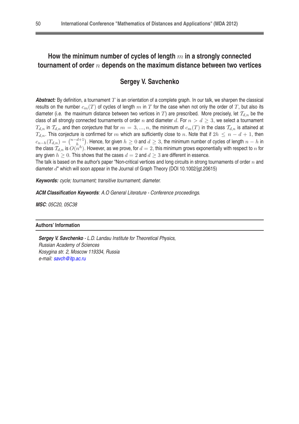## **How the minimum number of cycles of length** m **in a strongly connected tournament of order** n **depends on the maximum distance between two vertices**

## **Sergey V. Savchenko**

**Abstract:** By definition, a tournament  $T$  is an orientation of a complete graph. In our talk, we sharpen the classical results on the number  $c_m(T)$  of cycles of length m in T for the case when not only the order of T, but also its diameter (i.e. the maximum distance between two vertices in T) are prescribed. More precisely, let  $\mathcal{T}_{d,n}$  be the class of all strongly connected tournaments of order n and diameter d. For  $n > d \geq 3$ , we select a tournament  $T_{d,n}$  in  $T_{d,n}$  and then conjecture that for  $m=3,...,n$ , the minimum of  $c_m(T)$  in the class  $T_{d,n}$  is attained at  $T_{d,n}$ . This conjecture is confirmed for m which are sufficiently close to n. Note that if  $2h \le n - d + 1$ , then  $c_{n-h}(T_{d,n}) = {n-d+1 \choose h}$  $\binom{d+1}{h}$ . Hence, for given  $h\geq 0$  and  $d\geq 3,$  the minimum number of cycles of length  $n-h$  in the class  $\mathcal{T}_{d,n}$  is  $O(n^h)$ . However, as we prove, for  $d=2,$  this minimum grows exponentially with respect to  $n$  for any given  $h \geq 0$ . This shows that the cases  $d = 2$  and  $d \geq 3$  are different in essence.

The talk is based on the author's paper "Non-critical vertices and long circuits in strong tournaments of order  $n$  and diameter  $d<sup>n</sup>$  which will soon appear in the Journal of Graph Theory (DOI 10.1002/jgt.20615)

**Keywords:** cycle; tournament; transitive tournament; diameter.

**ACM Classification Keywords**: A.O General Literature - Conference proceedings.

**MSC**: 05C20, 05C38

#### **Authors' Information**

**Sergey V. Savchenko** - L.D. Landau Institute for Theoretical Physics, Russian Academy of Sciences Kosygina str. 2, Moscow 119334, Russia e-mail: [savch@itp.ac.ru](mailto:savch@itp.ac.ru)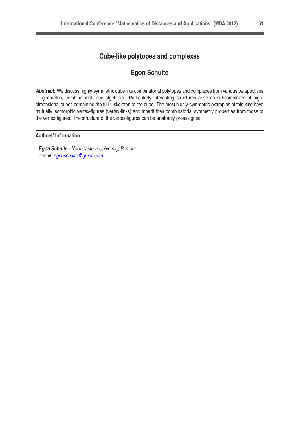## **Cube-like polytopes and complexes**

## **Egon Schulte**

**Abstract:** We discuss highly-symmetric cube-like combinatorial polytopes and complexes from various perspectives — geometric, combinatorial, and algebraic. Particularly interesting structures arise as subcomplexes of highdimensional cubes containing the full 1-skeleton of the cube. The most highly-symmetric examples of this kind have mutually isomorphic vertex-figures (vertex-links) and inherit their combinatorial symmetry properties from those of the vertex-figures. The structure of the vertex-figures can be arbitrarily preassigned.

#### **Authors' Information**

**Egon Schulte** - Northeastern University, Boston; e-mail: [egonschulte@gmail.com](mailto:egonschulte@gmail.com)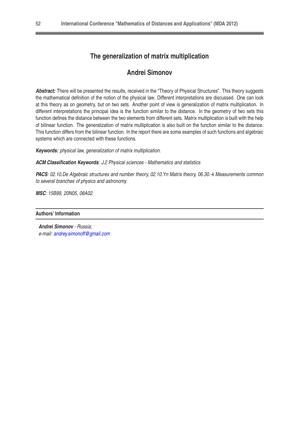## **The generalization of matrix multiplication**

## **Andrei Simonov**

**Abstract:** There will be presented the results, received in the "Theory of Physical Structures". This theory suggests the mathematical definition of the notion of the physical law. Different interpretations are discussed. One can look at this theory as on geometry, but on two sets. Another point of view is generalization of matrix multiplication. In different interpretations the principal idea is the function similar to the distance. In the geometry of two sets this function defines the distance between the two elements from different sets. Matrix multiplication is built with the help of bilinear function. The generalization of matrix multiplication is also built on the function similar to the distance. This function differs from the bilinear function. In the report there are some examples of such functions and algebraic systems which are connected with these functions.

**Keywords:** physical law, generalization of matrix multiplication.

**ACM Classification Keywords**: J.2 Physical sciences - Mathematics and statistics

PACS: 02.10.De Algebraic structures and number theory, 02.10. Yn Matrix theory, 06.30.-k Measurements common to several branches of physics and astronomy.

**MSC**: 15B99, 20N05, 08A02.

#### **Authors' Information**

**Andrei Simonov** - Russia; e-mail: [andrey.simonoff@gmail.com](mailto:andrey.simonoff@gmail.com)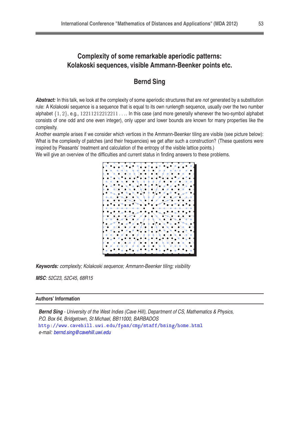## **Complexity of some remarkable aperiodic patterns: Kolakoski sequences, visible Ammann-Beenker points etc.**

## **Bernd Sing**

**Abstract:** In this talk, we look at the complexity of some aperiodic structures that are not generated by a substitution rule: A Kolakoski sequence is a sequence that is equal to its own runlength sequence, usually over the two number alphabet  $\{1, 2\}$ , e.g.,  $12211212212211...$  In this case (and more generally whenever the two-symbol alphabet consists of one odd and one even integer), only upper and lower bounds are known for many properties like the complexity.

Another example arises if we consider which vertices in the Ammann-Beenker tiling are visible (see picture below): What is the complexity of patches (and their frequencies) we get after such a construction? (These questions were inspired by Pleasants' treatment and calculation of the entropy of the visible lattice points.)

We will give an overview of the difficulties and current status in finding answers to these problems.



**Keywords:** complexity; Kolakoski sequence; Ammann-Beenker tiling; visibility

**MSC**: 52C23, 52C45, 68R15

#### **Authors' Information**

**Bernd Sing** - University of the West Indies (Cave Hill), Department of CS, Mathematics & Physics, P.O. Box 64, Bridgetown, St Michael, BB11000, BARBADOS [http://www.
avehill.uwi.edu/fpas/
mp/staff/bsing/home.html](http://www.cavehill.uwi.edu/fpas/cmp/staff/bsing/home.html) e-mail: [bernd.sing@cavehill.uwi.edu](mailto:bernd.sing@cavehill.uwi.edu)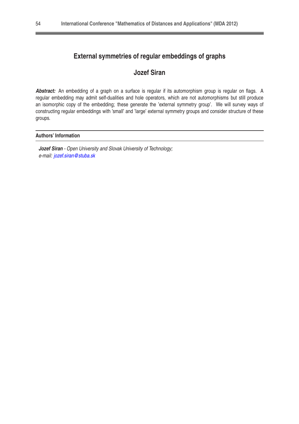## **External symmetries of regular embeddings of graphs**

## **Jozef Siran**

**Abstract:** An embedding of a graph on a surface is regular if its automorphism group is regular on flags. A regular embedding may admit self-dualities and hole operators, which are not automorphisms but still produce an isomorphic copy of the embedding; these generate the 'external symmetry group'. We will survey ways of constructing regular embeddings with 'small' and 'large' external symmetry groups and consider structure of these groups.

#### **Authors' Information**

**Jozef Siran** - Open University and Slovak University of Technology; e-mail: [jozef.siran@stuba.sk](mailto:jozef.siran@stuba.sk)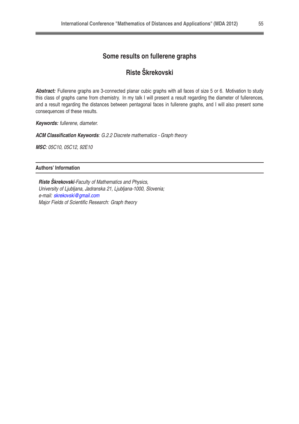## **Some results on fullerene graphs**

## **Riste Škrekovski**

**Abstract:** Fullerene graphs are 3-connected planar cubic graphs with all faces of size 5 or 6. Motivation to study this class of graphs came from chemistry. In my talk I will present a result regarding the diameter of fullerences, and a result regarding the distances between pentagonal faces in fullerene graphs, and I will also present some consequences of these results.

**Keywords:** fullerene, diameter.

**ACM Classification Keywords**: G.2.2 Discrete mathematics - Graph theory

**MSC**: 05C10, 05C12, 92E10

#### **Authors' Information**

**Riste Škrekovski**-Faculty of Mathematics and Physics, University of Ljubljana, Jadranska 21, Ljubljana-1000, Slovenia; e-mail: [skrekovski@gmail.com](mailto:skrekovski@gmail.com) Major Fields of Scientific Research: Graph theory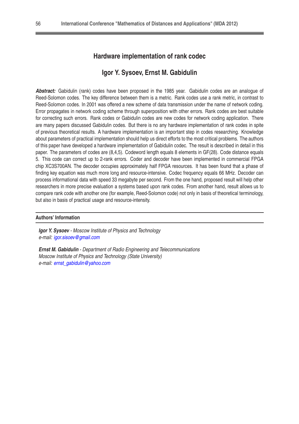#### **Hardware implementation of rank codec**

#### **Igor Y. Sysoev, Ernst M. Gabidulin**

**Abstract:** Gabidulin (rank) codes have been proposed in the 1985 year. Gabidulin codes are an analogue of Reed-Solomon codes. The key difference between them is a metric. Rank codes use a rank metric, in contrast to Reed-Solomon codes. In 2001 was offered a new scheme of data transmission under the name of network coding. Error propagates in network coding scheme through superposition with other errors. Rank codes are best suitable for correcting such errors. Rank codes or Gabidulin codes are new codes for network coding application. There are many papers discussed Gabidulin codes. But there is no any hardware implementation of rank codes in spite of previous theoretical results. A hardware implementation is an important step in codes researching. Knowledge about parameters of practical implementation should help us direct efforts to the most critical problems. The authors of this paper have developed a hardware implementation of Gabidulin codec. The result is described in detail in this paper. The parameters of codes are (8,4,5). Codeword length equals 8 elements in GF(28). Code distance equals 5. This code can correct up to 2-rank errors. Coder and decoder have been implemented in commercial FPGA chip XC3S700AN. The decoder occupies approximately half FPGA resources. It has been found that a phase of finding key equation was much more long and resource-intensive. Codec frequency equals 66 MHz. Decoder can process informational data with speed 33 megabyte per second. From the one hand, proposed result will help other researchers in more precise evaluation a systems based upon rank codes. From another hand, result allows us to compare rank code with another one (for example, Reed-Solomon code) not only in basis of theoretical terminology, but also in basis of practical usage and resource-intensity.

#### **Authors' Information**

**Igor Y. Sysoev** - Moscow Institute of Physics and Technology e-mail: [igor.sisoev@gmail.com](mailto:igor.sisoev@gmail.com)

**Ernst M. Gabidulin** - Department of Radio Engineering and Telecommunications Moscow Institute of Physics and Technology (State University) e-mail: [ernst\\_gabidulin@yahoo.com](mailto:ernst{_}gabidulin@yahoo.com)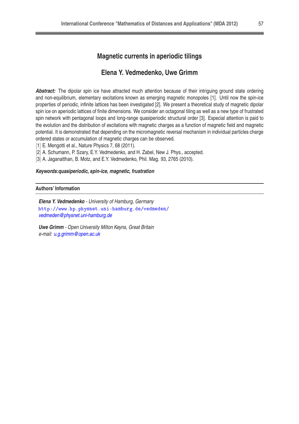#### **Magnetic currents in aperiodic tilings**

#### **Elena Y. Vedmedenko, Uwe Grimm**

**Abstract:** The dipolar spin ice have attracted much attention because of their intriguing ground state ordering and non-equilibrium, elementary excitations known as emerging magnetic monopoles [1]. Until now the spin-ice properties of periodic, infinite lattices has been investigated [2]. We present a theoretical study of magnetic dipolar spin ice on aperiodic lattices of finite dimensions. We consider an octagonal tiling as well as a new type of frustrated spin network with pentagonal loops and long-range quasiperiodic structural order [3]. Especial attention is paid to the evolution and the distribution of excitations with magnetic charges as a function of magnetic field and magnetic potential. It is demonstrated that depending on the micromagnetic reversal mechanism in individual particles charge ordered states or accumulation of magnetic charges can be observed.

- [1] E. Mengotti et al., Nature Physics 7, 68 (2011).
- [2] A. Schumann, P. Szary, E.Y. Vedmedenko, and H. Zabel, New J. Phys., accepted.
- [3] A. Jaganatthan, B. Motz, and E.Y. Vedmedenko, Phil. Mag. 93, 2765 (2010).

#### **Keywords:quasiperiodic, spin-ice, magnetic, frustration**

#### **Authors' Information**

**Elena Y. Vedmedenko** - University of Hamburg, Germany <http://www.hp.physnet.uni-hamburg.de/vedmeden/> [vedmeden@physnet.uni-hamburg.de](mailto:vedmeden@physnet.uni-hamburg.de)

**Uwe Grimm** - Open University Milton Keyns, Great Britain e-mail: [u.g.grimm@open.ac.uk](mailto:u.g.grimm@open.ac.uk)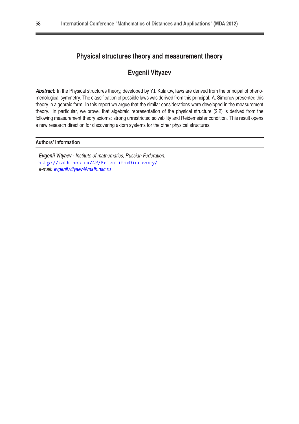## **Physical structures theory and measurement theory**

## **Evgenii Vityaev**

Abstract: In the Physical structures theory, developed by Y.I. Kulakov, laws are derived from the principal of phenomenological symmetry. The classification of possible laws was derived from this principal. A. Simonov presented this theory in algebraic form. In this report we argue that the similar considerations were developed in the measurement theory. In particular, we prove, that algebraic representation of the physical structure (2,2) is derived from the following measurement theory axioms: strong unrestricted solvability and Reidemeister condition. This result opens a new research direction for discovering axiom systems for the other physical structures.

#### **Authors' Information**

**Evgenii Vityaev** - Institute of mathematics, Russian Federation. http://math.nsc.ru/AP/ScientificDiscovery/ e-mail: [evgenii.vityaev@math.nsc.ru](mailto:evgenii.vityaev@math.nsc.ru)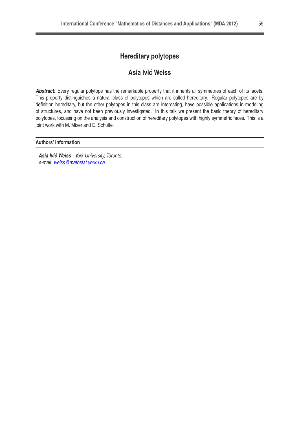## **Hereditary polytopes**

## **Asia Ivic Weiss ´**

**Abstract:** Every regular polytope has the remarkable property that it inherits all symmetries of each of its facets. This property distinguishes a natural class of polytopes which are called hereditary. Regular polytopes are by definition hereditary, but the other polytopes in this class are interesting, have possible applications in modeling of structures, and have not been previously investigated. In this talk we present the basic theory of hereditary polytopes, focussing on the analysis and construction of hereditary polytopes with highly symmetric faces. This is a joint work with M. Mixer and E. Schulte.

#### **Authors' Information**

**Asia Ivić Weiss - York University, Toronto.** e-mail: [weiss@mathstat.yorku.ca](mailto:weiss@mathstat.yorku.ca)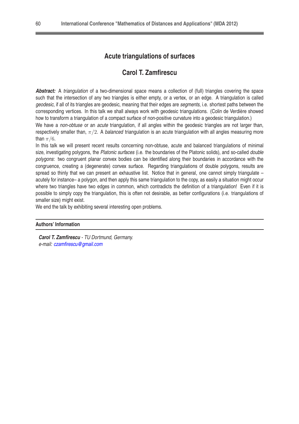## **Acute triangulations of surfaces**

#### **Carol T. Zamfirescu**

**Abstract:** A triangulation of a two-dimensional space means a collection of (full) triangles covering the space such that the intersection of any two triangles is either empty, or a vertex, or an edge. A triangulation is called geodesic, if all of its triangles are geodesic, meaning that their edges are segments, i.e. shortest paths between the corresponding vertices. In this talk we shall always work with geodesic triangulations. (Colin de Verdière showed how to transform a triangulation of a compact surface of non-positive curvature into a geodesic triangulation.)

We have a non-obtuse or an *acute* triangulation, if all angles within the geodesic triangles are not larger than, respectively smaller than,  $\pi/2$ . A balanced triangulation is an acute triangulation with all angles measuring more than  $\pi/6$ .

In this talk we will present recent results concerning non-obtuse, acute and balanced triangulations of minimal size, investigating polygons, the Platonic surfaces (i.e. the boundaries of the Platonic solids), and so-called double polygons: two congruent planar convex bodies can be identified along their boundaries in accordance with the congruence, creating a (degenerate) convex surface. Regarding triangulations of double polygons, results are spread so thinly that we can present an exhaustive list. Notice that in general, one cannot simply triangulate acutely for instance– a polygon, and then apply this same triangulation to the copy, as easily a situation might occur where two triangles have two edges in common, which contradicts the definition of a triangulation! Even if it is possible to simply copy the triangulation, this is often not desirable, as better configurations (i.e. triangulations of smaller size) might exist.

We end the talk by exhibiting several interesting open problems.

#### **Authors' Information**

**Carol T. Zamfirescu** - TU Dortmund, Germany. e-mail: [czamfirescu@gmail.com](mailto:czamfirescu@gmail.com)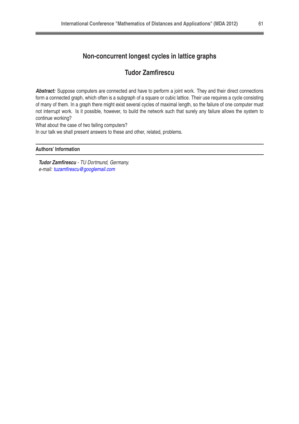## **Non-concurrent longest cycles in lattice graphs**

## **Tudor Zamfirescu**

Abstract: Suppose computers are connected and have to perform a joint work. They and their direct connections form a connected graph, which often is a subgraph of a square or cubic lattice. Their use requires a cycle consisting of many of them. In a graph there might exist several cycles of maximal length, so the failure of one computer must not interrupt work. Is it possible, however, to build the network such that surely any failure allows the system to continue working?

What about the case of two failing computers?

In our talk we shall present answers to these and other, related, problems.

#### **Authors' Information**

**Tudor Zamfirescu** - TU Dortmund, Germany. e-mail: [tuzamfirescu@googlemail.com](mailto:tuzamfirescu@googlemail.com)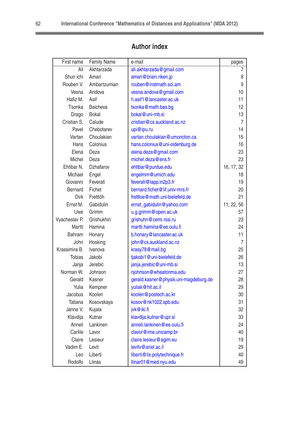| First name     | <b>Family Name</b> | e-mail                                | pages      |
|----------------|--------------------|---------------------------------------|------------|
| Ali            | Akhtarzada         | ali.akhtarzada@gmail.com              | 7          |
| Shun ichi      | Amari              | amari@brain.riken.jp                  | 8          |
| Rouben V.      | Ambartzumian       | rouben@instmath.sci.am                | 9          |
| Vesna          | Andova             | vesna.andova@gmail.com                | 10         |
| Hafiz M.       | Asif               | h.asif1@lancaster.ac.uk               | 11         |
| Tsonka         | <b>Baicheva</b>    | tsonka@math.bas.bg                    | 12         |
| Drago          | <b>Bokal</b>       | bokal@uni-mb.si                       | 13         |
| Cristian S.    | Calude             | cristian@cs.auckland.ac.nz            | 7          |
| Pavel          | Chebotarev         | upi@ipu.ru                            | 14         |
| Vartan         | Choulakian         | vartan.choulakian@umoncton.ca         | 15         |
| Hans           | Colonius           | hans.colonius@uni-oldenburg.de        | 16         |
| Elena          | Deza               | elena.deza@gmail.com                  | 23         |
| Michel         | Deza               | michel.deza@ens.fr                    | 23         |
| Ehtibar N.     | Dzhafarov          | ehtibar@purdue.edu                    | 16, 17, 32 |
| Michael        | Engel              | engelmm@umich.edu                     | 18         |
| Giovanni       | Feverati           | feverati@lapp.in2p3.fr                | 19         |
| <b>Bernard</b> | Fichet             | bernard.fichet@lif.univ-mrs.fr        | 20         |
| Dirk           | Frettlöh           | frettloe@math.uni-bielefeld.de        | 21         |
| Ernst M.       | Gabidulin          | ernst_gabidulin@yahoo.com             | 11, 22, 56 |
| Uwe            | Grimm              | u.g.grimm@open.ac.uk                  | 57         |
| Vyacheslav P.  | Grishukhin         | grishuhn@cemi.rssi.ru                 | 23         |
| Martti         | Hamina             | martti.hamina@ee.oulu.fi              | 24         |
| <b>Bahram</b>  | Honary             | b.honary@lancaster.ac.uk              | 11         |
| John           | Hosking            | john@cs.auckland.ac.nz                | 7          |
| Krassimira B.  | Ivanova            | krasy78@mail.bg                       | 25         |
| <b>Tobias</b>  | Jakobi             | tjakobi1@uni-bielefeld.de             | 26         |
| Janja          | Jerebic            | janja.jerebic@uni-mb.si               | 13         |
| Norman W.      | Johnson            | njohnson@wheatonma.edu                | 27         |
| Gerald         | Kasner             | gerald.kasner@physik.uni-magdeburg.de | 28         |
| Yulia          | Kempner            | yuliak@hit.ac.il                      | 29         |
| Jacobus        | Koolen             | koolen@postech.ac.kr                  | 30         |
| <b>Tatiana</b> | Kosovskaya         | kosov@nk1022.spb.edu                  | 31         |
| Janne V.       | Kujala             | jvk@iki.fi                            | 32         |
| Klavdija       | Kutnar             | klavdija.kutnar@upr.si                | 33         |
| Anneli         | Lankinen           | anneli.lankinen@ee.oulu.fi            | 24         |
| Carlile        | Lavor              | clavor@ime.unicamp.br                 | 40         |
| Claire         | Lesieur            | claire.lesieur@agim.eu                | 19         |
| Vadim E.       | Levit              | levity@ariel.ac.il                    | 29         |
| Leo            | Liberti            | liberti@lix.polytechnique.fr          | 40         |
| Rodolfo        | Llinás             | llinar01@med.nyu.edu                  | 49         |

## **Author index**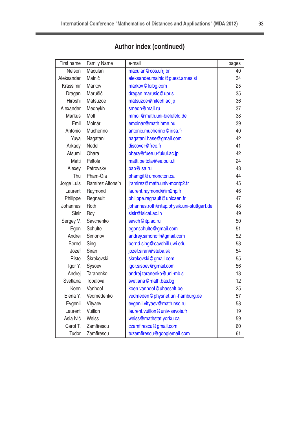| First name    | <b>Family Name</b> | e-mail                                     | pages |
|---------------|--------------------|--------------------------------------------|-------|
| Nelson        | Maculan            | maculan@cos.ufrj.br                        | 40    |
| Aleksander    | Malnič             | aleksander.malnic@guest.arnes.si           | 34    |
| Krassimir     | Markov             | markov@foibg.com                           | 25    |
| Dragan        | Marušič            | dragan.marusic@upr.si                      | 35    |
| Hiroshi       | Matsuzoe           | matsuzoe@nitech.ac.jp                      | 36    |
| Alexander     | Mednykh            | smedn@mail.ru                              | 37    |
| <b>Markus</b> | Moll               | mmoll@math.uni-bielefeld.de                | 38    |
| Emil          | Molnár             | emolnar@math.bme.hu                        | 39    |
| Antonio       | Mucherino          | antonio.mucherino@irisa.fr                 | 40    |
| Yuya          | Nagatani           | nagatani.hase@gmail.com                    | 42    |
| Arkady        | Nedel              | discover@free.fr                           | 41    |
| Atsumi        | Ohara              | ohara@fuee.u-fukui.ac.jp                   | 42    |
| Matti         | Peltola            | matti.peltola@ee.oulu.fi                   | 24    |
| Alexey        | Petrovsky          | pab@isa.ru                                 | 43    |
| Thu           | Pham-Gia           | phamgit@umoncton.ca                        | 44    |
| Jorge Luis    | Ramírez Alfonsín   | jramirez@math.univ-montp2.fr               | 45    |
| Laurent       | Raymond            | laurent.raymond@im2np.fr                   | 46    |
| Philippe      | Regnault           | philippe.regnault@unicaen.fr               | 47    |
| Johannes      | Roth               | johannes.roth@itap.physik.uni-stuttgart.de | 48    |
| Sisir         | Roy                | sisir@isical.ac.in                         | 49    |
| Sergey V.     | Savchenko          | savch@itp.ac.ru                            | 50    |
| Egon          | <b>Schulte</b>     | egonschulte@gmail.com                      | 51    |
| Andrei        | Simonov            | andrey.simonoff@gmail.com                  | 52    |
| <b>Bernd</b>  | Sing               | bernd.sing@cavehill.uwi.edu                | 53    |
| Jozef         | Siran              | jozef.siran@stuba.sk                       | 54    |
| Riste         | Škrekovski         | skrekovski@gmail.com                       | 55    |
| Igor Y.       | Sysoev             | igor.sisoev@gmail.com                      | 56    |
| Andrej        | Taranenko          | andrej.taranenko@uni-mb.si                 | 13    |
| Svetlana      | Topalova           | svetlana@math.bas.bq                       | 12    |
| Koen          | Vanhoof            | koen.vanhoof@uhasselt.be                   | 25    |
| Elena Y.      | Vedmedenko         | vedmeden@physnet.uni-hamburg.de            | 57    |
| Evgenii       | Vityaev            | evgenii.vityaev@math.nsc.ru                | 58    |
| Laurent       | Vuillon            | laurent.vuillon@univ-savoie.fr             | 19    |
| Asia Ivić     | Weiss              | weiss@mathstat.yorku.ca                    | 59    |
| Carol T.      | Zamfirescu         | czamfirescu@gmail.com                      | 60    |
| Tudor         | Zamfirescu         | tuzamfirescu@googlemail.com                | 61    |

## **Author index (continued)**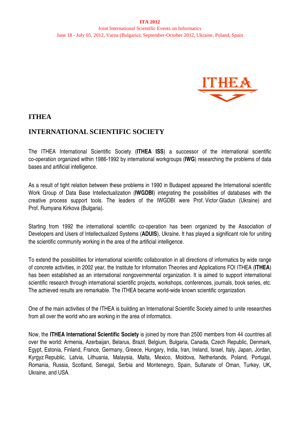

## **ITHEA**

## **INTERNATIONAL SCIENTIFIC SOCIETY**

The ITHEA International Scientific Society (**ITHEA ISS**) a successor of the international scientific co-operation organized within 1986-1992 by international workgroups (**IWG**) researching the problems of data bases and artificial intelligence.

As a result of tight relation between these problems in 1990 in Budapest appeared the International scientific Work Group of Data Base Intellectualization (**IWGDBI**) integrating the possibilities of databases with the creative process support tools. The leaders of the IWGDBI were Prof. Victor Gladun (Ukraine) and Prof. Rumyana Kirkova (Bulgaria).

Starting from 1992 the international scientific co-operation has been organized by the Association of Developers and Users of Intellectualized Systems (**ADUIS**), Ukraine. It has played a significant role for uniting the scientific community working in the area of the artificial intelligence.

To extend the possibilities for international scientific collaboration in all directions of informatics by wide range of concrete activities, in 2002 year, the Institute for Information Theories and Applications FOI ITHEA (**ITHEA**) has been established as an international nongovernmental organization. It is aimed to support international scientific research through international scientific projects, workshops, conferences, journals, book series, etc. The achieved results are remarkable. The ITHEA became world-wide known scientific organization.

One of the main activities of the ITHEA is building an International Scientific Society aimed to unite researches from all over the world who are working in the area of informatics.

Now, the **ITHEA International Scientific Society** is joined by more than 2500 members from 44 countries all over the world: Armenia, Azerbaijan, Belarus, Brazil, Belgium, Bulgaria, Canada, Czech Republic, Denmark, Egypt, Estonia, Finland, France, Germany, Greece, Hungary, India, Iran, Ireland, Israel, Italy, Japan, Jordan, Kyrgyz Republic, Latvia, Lithuania, Malaysia, Malta, Mexico, Moldova, Netherlands, Poland, Portugal, Romania, Russia, Scotland, Senegal, Serbia and Montenegro, Spain, Sultanate of Oman, Turkey, UK, Ukraine, and USA.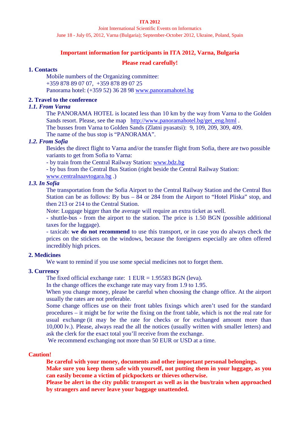#### **ITA 2012**

Joint International Scientific Events on Informatics June 18 - July 05, 2012, Varna (Bulgaria); September-October 2012, Ukraine, Poland, Spain

#### **Important information for participants in ITA 2012, Varna, Bulgaria**

#### **Please read carefully!**

#### **1. Contacts**

Mobile numbers of the Organizing committee: +359 878 89 07 07, +359 878 89 07 25 Panorama hotel: (+359 52) 36 28 98 www.panoramahotel.bg

#### **2. Travel to the conference**

#### *1.1. From Varna*

The PANORAMA HOTEL is located less than 10 km by the way from Varna to the Golden Sands resort. Please, see the map [http://www.panoramahotel.bg/get\\_eng.html](http://www.panoramahotel.bg/get_eng.html) .

The busses from Varna to Golden Sands (Zlatni pyasatsi): 9, 109, 209, 309, 409.

The name of the bus stop is "PANORAMA".

#### *1.2. From Sofia*

Besides the direct flight to Varna and/or the transfer flight from Sofia, there are two possible variants to get from Sofia to Varna:

- by train from the Central Railway Station: [www.bdz.bg](http://www.bdz.bg/) 

- by bus from the Central Bus Station (right beside the Central Railway Station:

[www.centralnaavtogara.bg](http://www.centralnaavtogara.bg/) .)

#### *1.3. In Sofia*

The transportation from the Sofia Airport to the Central Railway Station and the Central Bus Station can be as follows: By bus – 84 or 284 from the Airport to "Hotel Pliska" stop, and then 213 or 214 to the Central Station.

Note: Luggage bigger than the average will require an extra ticket as well.

- shuttle-bus - from the airport to the station. The price is 1.50 BGN (possible additional taxes for the luggage).

- taxicab: **we do not recommend** to use this transport, or in case you do always check the prices on the stickers on the windows, because the foreigners especially are often offered incredibly high prices.

#### **2. Medicines**

We want to remind if you use some special medicines not to forget them.

#### **3. Currency**

The fixed official exchange rate: 1 EUR = 1.95583 BGN (leva).

In the change offices the exchange rate may vary from 1.9 to 1.95.

When you change money, please be careful when choosing the change office. At the airport usually the rates are not preferable.

Some change offices use on their front tables fixings which aren't used for the standard procedures – it might be for write the fixing on the front table, which is not the real rate for usual exchange (it may be the rate for checks or for exchanged amount more than 10,000 lv.). Please, always read the all the notices (usually written with smaller letters) and ask the clerk for the exact total you'll receive from the exchange.

We recommend exchanging not more than 50 EUR or USD at a time.

#### **Caution!**

**Be careful with your money, documents and other important personal belongings.**

**Make sure you keep them safe with yourself, not putting them in your luggage, as you can easily become a victim of pickpockets or thieves otherwise.**

**Please be alert in the city public transport as well as in the bus/train when approached by strangers and never leave your baggage unattended.**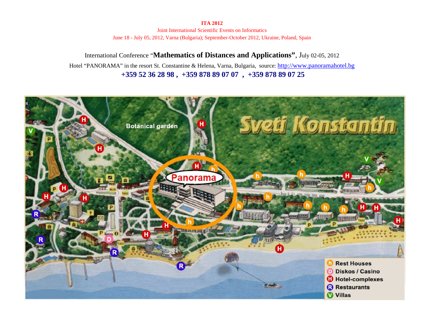**ITA 2012** 

Joint International Scientific Events on Informatics June 18 - July 05, 2012, Varna (Bulgaria); September-October 2012, Ukraine, Poland, Spain

International Conference "**Mathematics of Distances and Applications"**, July 02-05, 2012 Hotel "PANORAMA" in the resort St. Constantine & Helena, Varna, Bulgaria, source: [http://www.panoramahotel.bg](http://www.panoramahotel.bg/) **+359 52 36 28 98 , +359 878 89 07 07 , +359 878 89 07 25**